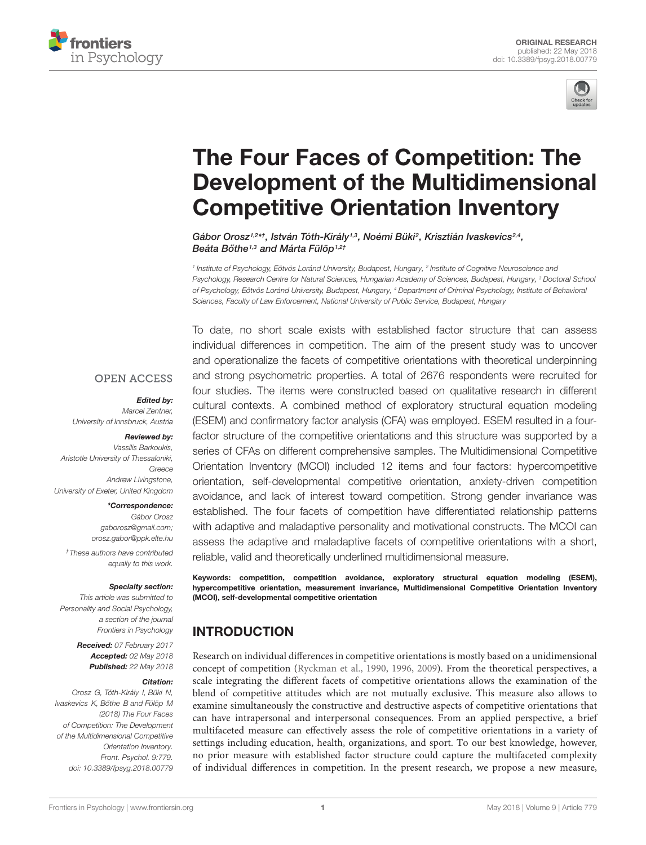



# The Four Faces of Competition: The [Development of the Multidimensional](https://www.frontiersin.org/articles/10.3389/fpsyg.2018.00779/full) Competitive Orientation Inventory

[Gábor Orosz](http://loop.frontiersin.org/people/69953/overview)<sup>1,2\*†</sup>, [István Tóth-Király](http://loop.frontiersin.org/people/197440/overview)<sup>1,3</sup>, Noémi Büki<sup>2</sup>, [Krisztián Ivaskevics](http://loop.frontiersin.org/people/449136/overview)<sup>2,4</sup>, Beáta Bőthe1,3 and [Márta Fülöp](http://loop.frontiersin.org/people/375782/overview)1,2†

<sup>1</sup> Institute of Psychology, Eötvös Loránd University, Budapest, Hungary, <sup>2</sup> Institute of Cognitive Neuroscience and Psychology, Research Centre for Natural Sciences, Hungarian Academy of Sciences, Budapest, Hungary, <sup>3</sup> Doctoral School of Psychology, Eötvös Loránd University, Budapest, Hungary, <sup>4</sup> Department of Criminal Psychology, Institute of Behavioral Sciences, Faculty of Law Enforcement, National University of Public Service, Budapest, Hungary

**OPEN ACCESS** 

#### Edited by:

Marcel Zentner, University of Innsbruck, Austria

#### Reviewed by:

Vassilis Barkoukis, Aristotle University of Thessaloniki, Greece Andrew Livingstone, University of Exeter, United Kingdom

> \*Correspondence: Gábor Orosz gaborosz@gmail.com; orosz.gabor@ppk.elte.hu

†These authors have contributed equally to this work.

#### Specialty section:

This article was submitted to Personality and Social Psychology, a section of the journal Frontiers in Psychology

> Received: 07 February 2017 Accepted: 02 May 2018 Published: 22 May 2018

#### Citation:

Orosz G, Tóth-Király I, Büki N, Ivaskevics K, Bőthe B and Fülöp M (2018) The Four Faces of Competition: The Development of the Multidimensional Competitive Orientation Inventory. Front. Psychol. 9:779. doi: [10.3389/fpsyg.2018.00779](https://doi.org/10.3389/fpsyg.2018.00779)

To date, no short scale exists with established factor structure that can assess individual differences in competition. The aim of the present study was to uncover and operationalize the facets of competitive orientations with theoretical underpinning and strong psychometric properties. A total of 2676 respondents were recruited for four studies. The items were constructed based on qualitative research in different cultural contexts. A combined method of exploratory structural equation modeling (ESEM) and confirmatory factor analysis (CFA) was employed. ESEM resulted in a fourfactor structure of the competitive orientations and this structure was supported by a series of CFAs on different comprehensive samples. The Multidimensional Competitive Orientation Inventory (MCOI) included 12 items and four factors: hypercompetitive orientation, self-developmental competitive orientation, anxiety-driven competition avoidance, and lack of interest toward competition. Strong gender invariance was established. The four facets of competition have differentiated relationship patterns with adaptive and maladaptive personality and motivational constructs. The MCOI can assess the adaptive and maladaptive facets of competitive orientations with a short, reliable, valid and theoretically underlined multidimensional measure.

Keywords: competition, competition avoidance, exploratory structural equation modeling (ESEM), hypercompetitive orientation, measurement invariance, Multidimensional Competitive Orientation Inventory (MCOI), self-developmental competitive orientation

# INTRODUCTION

Research on individual differences in competitive orientations is mostly based on a unidimensional concept of competition [\(Ryckman et al.,](#page-15-0) [1990,](#page-15-0) [1996,](#page-15-1) [2009\)](#page-15-2). From the theoretical perspectives, a scale integrating the different facets of competitive orientations allows the examination of the blend of competitive attitudes which are not mutually exclusive. This measure also allows to examine simultaneously the constructive and destructive aspects of competitive orientations that can have intrapersonal and interpersonal consequences. From an applied perspective, a brief multifaceted measure can effectively assess the role of competitive orientations in a variety of settings including education, health, organizations, and sport. To our best knowledge, however, no prior measure with established factor structure could capture the multifaceted complexity of individual differences in competition. In the present research, we propose a new measure,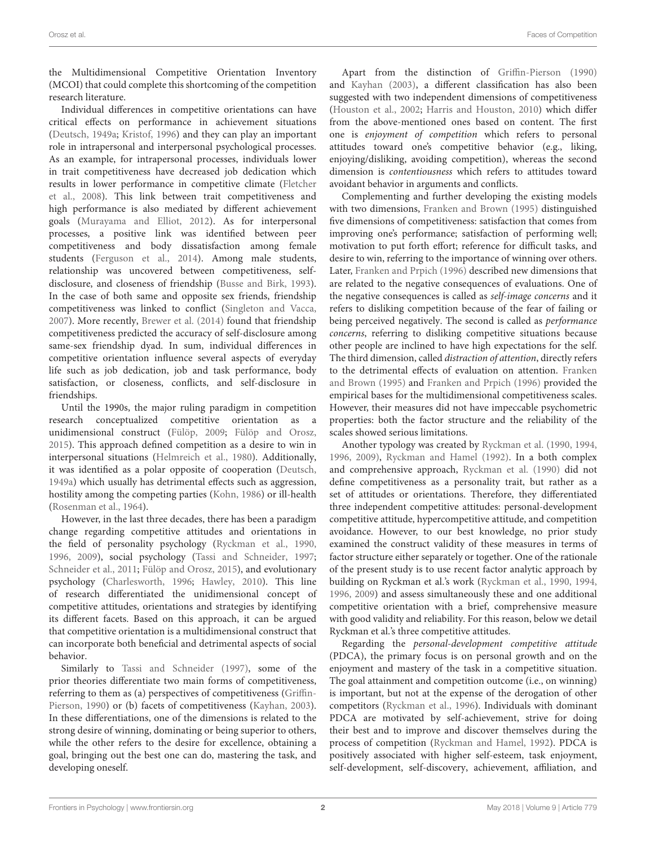the Multidimensional Competitive Orientation Inventory (MCOI) that could complete this shortcoming of the competition research literature.

Individual differences in competitive orientations can have critical effects on performance in achievement situations [\(Deutsch,](#page-13-0) [1949a;](#page-13-0) [Kristof,](#page-14-0) [1996\)](#page-14-0) and they can play an important role in intrapersonal and interpersonal psychological processes. As an example, for intrapersonal processes, individuals lower in trait competitiveness have decreased job dedication which results in lower performance in competitive climate [\(Fletcher](#page-13-1) [et al.,](#page-13-1) [2008\)](#page-13-1). This link between trait competitiveness and high performance is also mediated by different achievement goals [\(Murayama and Elliot,](#page-14-1) [2012\)](#page-14-1). As for interpersonal processes, a positive link was identified between peer competitiveness and body dissatisfaction among female students [\(Ferguson et al.,](#page-13-2) [2014\)](#page-13-2). Among male students, relationship was uncovered between competitiveness, selfdisclosure, and closeness of friendship [\(Busse and Birk,](#page-13-3) [1993\)](#page-13-3). In the case of both same and opposite sex friends, friendship competitiveness was linked to conflict [\(Singleton and Vacca,](#page-15-3) [2007\)](#page-15-3). More recently, [Brewer et al.](#page-13-4) [\(2014\)](#page-13-4) found that friendship competitiveness predicted the accuracy of self-disclosure among same-sex friendship dyad. In sum, individual differences in competitive orientation influence several aspects of everyday life such as job dedication, job and task performance, body satisfaction, or closeness, conflicts, and self-disclosure in friendships.

Until the 1990s, the major ruling paradigm in competition research conceptualized competitive orientation as a unidimensional construct [\(Fülöp,](#page-13-5) [2009;](#page-13-5) [Fülöp and Orosz,](#page-13-6) [2015\)](#page-13-6). This approach defined competition as a desire to win in interpersonal situations [\(Helmreich et al.,](#page-14-2) [1980\)](#page-14-2). Additionally, it was identified as a polar opposite of cooperation [\(Deutsch,](#page-13-0) [1949a\)](#page-13-0) which usually has detrimental effects such as aggression, hostility among the competing parties [\(Kohn,](#page-14-3) [1986\)](#page-14-3) or ill-health [\(Rosenman et al.,](#page-15-4) [1964\)](#page-15-4).

However, in the last three decades, there has been a paradigm change regarding competitive attitudes and orientations in the field of personality psychology [\(Ryckman et al.,](#page-15-0) [1990,](#page-15-0) [1996,](#page-15-1) [2009\)](#page-15-2), social psychology [\(Tassi and Schneider,](#page-15-5) [1997;](#page-15-5) [Schneider et al.,](#page-15-6) [2011;](#page-15-6) [Fülöp and Orosz,](#page-13-6) [2015\)](#page-13-6), and evolutionary psychology [\(Charlesworth,](#page-13-7) [1996;](#page-13-7) [Hawley,](#page-14-4) [2010\)](#page-14-4). This line of research differentiated the unidimensional concept of competitive attitudes, orientations and strategies by identifying its different facets. Based on this approach, it can be argued that competitive orientation is a multidimensional construct that can incorporate both beneficial and detrimental aspects of social behavior.

Similarly to [Tassi and Schneider](#page-15-5) [\(1997\)](#page-15-5), some of the prior theories differentiate two main forms of competitiveness, referring to them as (a) perspectives of competitiveness [\(Griffin-](#page-13-8)[Pierson,](#page-13-8) [1990\)](#page-13-8) or (b) facets of competitiveness [\(Kayhan,](#page-14-5) [2003\)](#page-14-5). In these differentiations, one of the dimensions is related to the strong desire of winning, dominating or being superior to others, while the other refers to the desire for excellence, obtaining a goal, bringing out the best one can do, mastering the task, and developing oneself.

Apart from the distinction of [Griffin-Pierson](#page-13-8) [\(1990\)](#page-13-8) and [Kayhan](#page-14-5) [\(2003\)](#page-14-5), a different classification has also been suggested with two independent dimensions of competitiveness [\(Houston et al.,](#page-14-6) [2002;](#page-14-6) [Harris and Houston,](#page-13-9) [2010\)](#page-13-9) which differ from the above-mentioned ones based on content. The first one is enjoyment of competition which refers to personal attitudes toward one's competitive behavior (e.g., liking, enjoying/disliking, avoiding competition), whereas the second dimension is contentiousness which refers to attitudes toward avoidant behavior in arguments and conflicts.

Complementing and further developing the existing models with two dimensions, [Franken and Brown](#page-13-10) [\(1995\)](#page-13-10) distinguished five dimensions of competitiveness: satisfaction that comes from improving one's performance; satisfaction of performing well; motivation to put forth effort; reference for difficult tasks, and desire to win, referring to the importance of winning over others. Later, [Franken and Prpich](#page-13-11) [\(1996\)](#page-13-11) described new dimensions that are related to the negative consequences of evaluations. One of the negative consequences is called as self-image concerns and it refers to disliking competition because of the fear of failing or being perceived negatively. The second is called as performance concerns, referring to disliking competitive situations because other people are inclined to have high expectations for the self. The third dimension, called distraction of attention, directly refers to the detrimental effects of evaluation on attention. [Franken](#page-13-10) [and Brown](#page-13-10) [\(1995\)](#page-13-10) and [Franken and Prpich](#page-13-11) [\(1996\)](#page-13-11) provided the empirical bases for the multidimensional competitiveness scales. However, their measures did not have impeccable psychometric properties: both the factor structure and the reliability of the scales showed serious limitations.

Another typology was created by [Ryckman et al.](#page-15-0) [\(1990,](#page-15-0) [1994,](#page-15-7) [1996,](#page-15-1) [2009\)](#page-15-2), [Ryckman and Hamel](#page-15-8) [\(1992\)](#page-15-8). In a both complex and comprehensive approach, [Ryckman et al.](#page-15-0) [\(1990\)](#page-15-0) did not define competitiveness as a personality trait, but rather as a set of attitudes or orientations. Therefore, they differentiated three independent competitive attitudes: personal-development competitive attitude, hypercompetitive attitude, and competition avoidance. However, to our best knowledge, no prior study examined the construct validity of these measures in terms of factor structure either separately or together. One of the rationale of the present study is to use recent factor analytic approach by building on Ryckman et al.'s work [\(Ryckman et al.,](#page-15-0) [1990,](#page-15-0) [1994,](#page-15-7) [1996,](#page-15-1) [2009\)](#page-15-2) and assess simultaneously these and one additional competitive orientation with a brief, comprehensive measure with good validity and reliability. For this reason, below we detail Ryckman et al.'s three competitive attitudes.

Regarding the personal-development competitive attitude (PDCA), the primary focus is on personal growth and on the enjoyment and mastery of the task in a competitive situation. The goal attainment and competition outcome (i.e., on winning) is important, but not at the expense of the derogation of other competitors [\(Ryckman et al.,](#page-15-1) [1996\)](#page-15-1). Individuals with dominant PDCA are motivated by self-achievement, strive for doing their best and to improve and discover themselves during the process of competition [\(Ryckman and Hamel,](#page-15-8) [1992\)](#page-15-8). PDCA is positively associated with higher self-esteem, task enjoyment, self-development, self-discovery, achievement, affiliation, and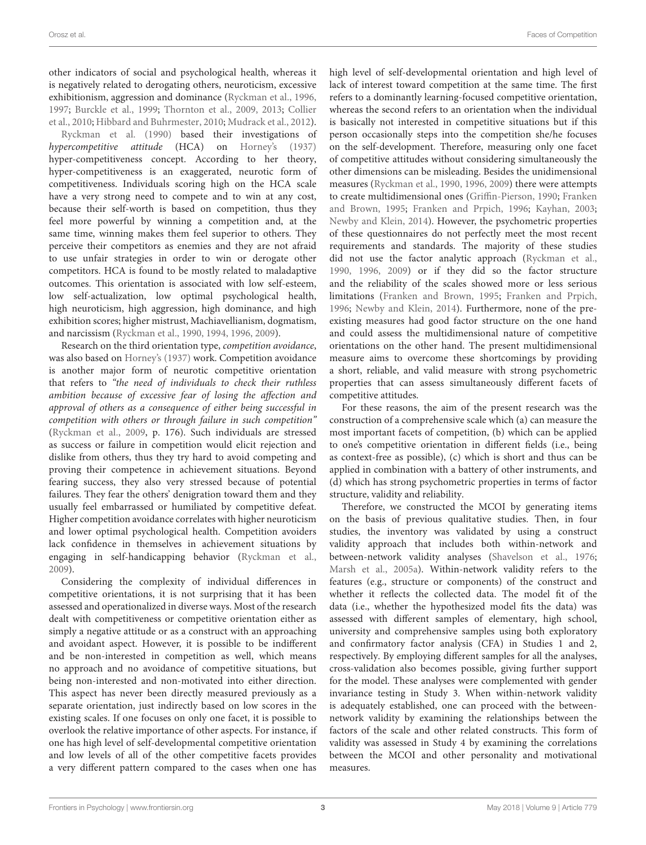other indicators of social and psychological health, whereas it is negatively related to derogating others, neuroticism, excessive exhibitionism, aggression and dominance [\(Ryckman et al.,](#page-15-1) [1996,](#page-15-1) [1997;](#page-15-9) [Burckle et al.,](#page-13-12) [1999;](#page-13-12) [Thornton et al.,](#page-15-10) [2009,](#page-15-10) [2013;](#page-15-11) [Collier](#page-13-13) [et al.,](#page-13-13) [2010;](#page-13-13) [Hibbard and Buhrmester,](#page-14-7) [2010;](#page-14-7) [Mudrack et al.,](#page-14-8) [2012\)](#page-14-8).

[Ryckman et al.](#page-15-0) [\(1990\)](#page-15-0) based their investigations of hypercompetitive attitude (HCA) on [Horney's](#page-14-9) [\(1937\)](#page-14-9) hyper-competitiveness concept. According to her theory, hyper-competitiveness is an exaggerated, neurotic form of competitiveness. Individuals scoring high on the HCA scale have a very strong need to compete and to win at any cost, because their self-worth is based on competition, thus they feel more powerful by winning a competition and, at the same time, winning makes them feel superior to others. They perceive their competitors as enemies and they are not afraid to use unfair strategies in order to win or derogate other competitors. HCA is found to be mostly related to maladaptive outcomes. This orientation is associated with low self-esteem, low self-actualization, low optimal psychological health, high neuroticism, high aggression, high dominance, and high exhibition scores; higher mistrust, Machiavellianism, dogmatism, and narcissism [\(Ryckman et al.,](#page-15-0) [1990,](#page-15-0) [1994,](#page-15-7) [1996,](#page-15-1) [2009\)](#page-15-2).

Research on the third orientation type, competition avoidance, was also based on [Horney'](#page-14-9)s [\(1937\)](#page-14-9) work. Competition avoidance is another major form of neurotic competitive orientation that refers to "the need of individuals to check their ruthless ambition because of excessive fear of losing the affection and approval of others as a consequence of either being successful in competition with others or through failure in such competition" [\(Ryckman et al.,](#page-15-2) [2009,](#page-15-2) p. 176). Such individuals are stressed as success or failure in competition would elicit rejection and dislike from others, thus they try hard to avoid competing and proving their competence in achievement situations. Beyond fearing success, they also very stressed because of potential failures. They fear the others' denigration toward them and they usually feel embarrassed or humiliated by competitive defeat. Higher competition avoidance correlates with higher neuroticism and lower optimal psychological health. Competition avoiders lack confidence in themselves in achievement situations by engaging in self-handicapping behavior [\(Ryckman et al.,](#page-15-2) [2009\)](#page-15-2).

Considering the complexity of individual differences in competitive orientations, it is not surprising that it has been assessed and operationalized in diverse ways. Most of the research dealt with competitiveness or competitive orientation either as simply a negative attitude or as a construct with an approaching and avoidant aspect. However, it is possible to be indifferent and be non-interested in competition as well, which means no approach and no avoidance of competitive situations, but being non-interested and non-motivated into either direction. This aspect has never been directly measured previously as a separate orientation, just indirectly based on low scores in the existing scales. If one focuses on only one facet, it is possible to overlook the relative importance of other aspects. For instance, if one has high level of self-developmental competitive orientation and low levels of all of the other competitive facets provides a very different pattern compared to the cases when one has

high level of self-developmental orientation and high level of lack of interest toward competition at the same time. The first refers to a dominantly learning-focused competitive orientation, whereas the second refers to an orientation when the individual is basically not interested in competitive situations but if this person occasionally steps into the competition she/he focuses on the self-development. Therefore, measuring only one facet of competitive attitudes without considering simultaneously the other dimensions can be misleading. Besides the unidimensional measures [\(Ryckman et al.,](#page-15-0) [1990,](#page-15-0) [1996,](#page-15-1) [2009\)](#page-15-2) there were attempts to create multidimensional ones [\(Griffin-Pierson,](#page-13-8) [1990;](#page-13-8) [Franken](#page-13-10) [and Brown,](#page-13-10) [1995;](#page-13-10) [Franken and Prpich,](#page-13-11) [1996;](#page-13-11) [Kayhan,](#page-14-5) [2003;](#page-14-5) [Newby and Klein,](#page-14-10) [2014\)](#page-14-10). However, the psychometric properties of these questionnaires do not perfectly meet the most recent requirements and standards. The majority of these studies did not use the factor analytic approach [\(Ryckman et al.,](#page-15-0) [1990,](#page-15-0) [1996,](#page-15-1) [2009\)](#page-15-2) or if they did so the factor structure and the reliability of the scales showed more or less serious limitations [\(Franken and Brown,](#page-13-10) [1995;](#page-13-10) [Franken and Prpich,](#page-13-11) [1996;](#page-13-11) [Newby and Klein,](#page-14-10) [2014\)](#page-14-10). Furthermore, none of the preexisting measures had good factor structure on the one hand and could assess the multidimensional nature of competitive orientations on the other hand. The present multidimensional measure aims to overcome these shortcomings by providing a short, reliable, and valid measure with strong psychometric properties that can assess simultaneously different facets of competitive attitudes.

For these reasons, the aim of the present research was the construction of a comprehensive scale which (a) can measure the most important facets of competition, (b) which can be applied to one's competitive orientation in different fields (i.e., being as context-free as possible), (c) which is short and thus can be applied in combination with a battery of other instruments, and (d) which has strong psychometric properties in terms of factor structure, validity and reliability.

Therefore, we constructed the MCOI by generating items on the basis of previous qualitative studies. Then, in four studies, the inventory was validated by using a construct validity approach that includes both within-network and between-network validity analyses [\(Shavelson et al.,](#page-15-12) [1976;](#page-15-12) [Marsh et al.,](#page-14-11) [2005a\)](#page-14-11). Within-network validity refers to the features (e.g., structure or components) of the construct and whether it reflects the collected data. The model fit of the data (i.e., whether the hypothesized model fits the data) was assessed with different samples of elementary, high school, university and comprehensive samples using both exploratory and confirmatory factor analysis (CFA) in Studies 1 and 2, respectively. By employing different samples for all the analyses, cross-validation also becomes possible, giving further support for the model. These analyses were complemented with gender invariance testing in Study 3. When within-network validity is adequately established, one can proceed with the betweennetwork validity by examining the relationships between the factors of the scale and other related constructs. This form of validity was assessed in Study 4 by examining the correlations between the MCOI and other personality and motivational measures.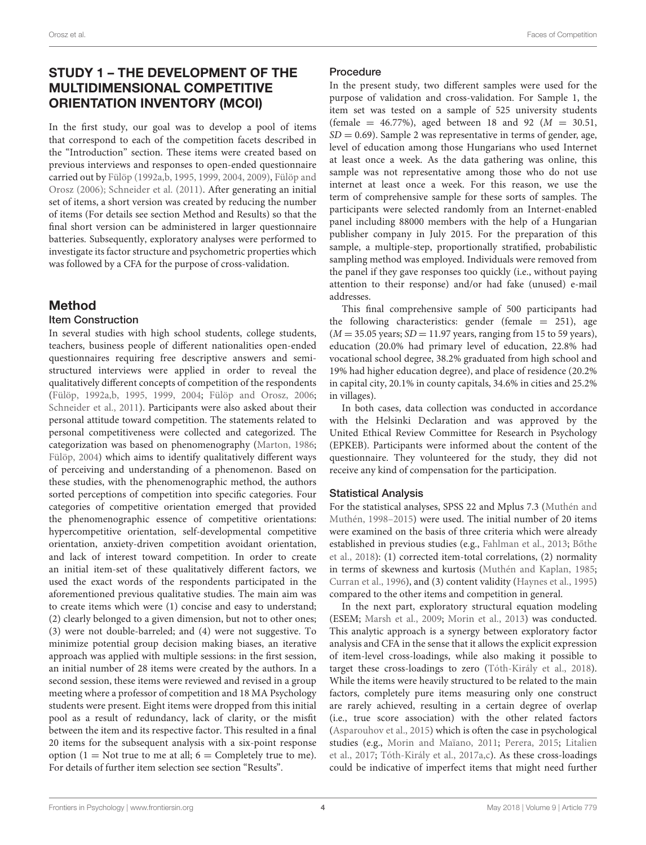# STUDY 1 – THE DEVELOPMENT OF THE MULTIDIMENSIONAL COMPETITIVE ORIENTATION INVENTORY (MCOI)

In the first study, our goal was to develop a pool of items that correspond to each of the competition facets described in the "Introduction" section. These items were created based on previous interviews and responses to open-ended questionnaire carried out by [Fülöp](#page-13-14) [\(1992a](#page-13-14)[,b,](#page-13-15) [1995,](#page-13-16) [1999,](#page-13-17) [2004,](#page-13-18) [2009\)](#page-13-5), [Fülöp and](#page-13-19) [Orosz](#page-13-19) [\(2006\)](#page-13-19); [Schneider et al.](#page-15-6) [\(2011\)](#page-15-6). After generating an initial set of items, a short version was created by reducing the number of items (For details see section Method and Results) so that the final short version can be administered in larger questionnaire batteries. Subsequently, exploratory analyses were performed to investigate its factor structure and psychometric properties which was followed by a CFA for the purpose of cross-validation.

# Method

### Item Construction

In several studies with high school students, college students, teachers, business people of different nationalities open-ended questionnaires requiring free descriptive answers and semistructured interviews were applied in order to reveal the qualitatively different concepts of competition of the respondents [\(Fülöp,](#page-13-14) [1992a,](#page-13-14)[b,](#page-13-15) [1995,](#page-13-16) [1999,](#page-13-17) [2004;](#page-13-18) [Fülöp and Orosz,](#page-13-19) [2006;](#page-13-19) [Schneider et al.,](#page-15-6) [2011\)](#page-15-6). Participants were also asked about their personal attitude toward competition. The statements related to personal competitiveness were collected and categorized. The categorization was based on phenomenography [\(Marton,](#page-14-12) [1986;](#page-14-12) [Fülöp,](#page-13-18) [2004\)](#page-13-18) which aims to identify qualitatively different ways of perceiving and understanding of a phenomenon. Based on these studies, with the phenomenographic method, the authors sorted perceptions of competition into specific categories. Four categories of competitive orientation emerged that provided the phenomenographic essence of competitive orientations: hypercompetitive orientation, self-developmental competitive orientation, anxiety-driven competition avoidant orientation, and lack of interest toward competition. In order to create an initial item-set of these qualitatively different factors, we used the exact words of the respondents participated in the aforementioned previous qualitative studies. The main aim was to create items which were (1) concise and easy to understand; (2) clearly belonged to a given dimension, but not to other ones; (3) were not double-barreled; and (4) were not suggestive. To minimize potential group decision making biases, an iterative approach was applied with multiple sessions: in the first session, an initial number of 28 items were created by the authors. In a second session, these items were reviewed and revised in a group meeting where a professor of competition and 18 MA Psychology students were present. Eight items were dropped from this initial pool as a result of redundancy, lack of clarity, or the misfit between the item and its respective factor. This resulted in a final 20 items for the subsequent analysis with a six-point response option (1 = Not true to me at all;  $6 =$  Completely true to me). For details of further item selection see section "Results".

### Procedure

In the present study, two different samples were used for the purpose of validation and cross-validation. For Sample 1, the item set was tested on a sample of 525 university students (female =  $46.77\%$ ), aged between 18 and 92 ( $M = 30.51$ ,  $SD = 0.69$ ). Sample 2 was representative in terms of gender, age, level of education among those Hungarians who used Internet at least once a week. As the data gathering was online, this sample was not representative among those who do not use internet at least once a week. For this reason, we use the term of comprehensive sample for these sorts of samples. The participants were selected randomly from an Internet-enabled panel including 88000 members with the help of a Hungarian publisher company in July 2015. For the preparation of this sample, a multiple-step, proportionally stratified, probabilistic sampling method was employed. Individuals were removed from the panel if they gave responses too quickly (i.e., without paying attention to their response) and/or had fake (unused) e-mail addresses.

This final comprehensive sample of 500 participants had the following characteristics: gender (female  $= 251$ ), age  $(M = 35.05$  years;  $SD = 11.97$  years, ranging from 15 to 59 years), education (20.0% had primary level of education, 22.8% had vocational school degree, 38.2% graduated from high school and 19% had higher education degree), and place of residence (20.2% in capital city, 20.1% in county capitals, 34.6% in cities and 25.2% in villages).

In both cases, data collection was conducted in accordance with the Helsinki Declaration and was approved by the United Ethical Review Committee for Research in Psychology (EPKEB). Participants were informed about the content of the questionnaire. They volunteered for the study, they did not receive any kind of compensation for the participation.

### Statistical Analysis

For the statistical analyses, SPSS 22 and Mplus 7.3 [\(Muthén and](#page-14-13) [Muthén,](#page-14-13) [1998–2015\)](#page-14-13) were used. The initial number of 20 items were examined on the basis of three criteria which were already established in previous studies (e.g., [Fahlman et al.,](#page-13-20) [2013;](#page-13-20) Bőthe [et al.,](#page-13-21) [2018\)](#page-13-21): (1) corrected item-total correlations, (2) normality in terms of skewness and kurtosis [\(Muthén and Kaplan,](#page-14-14) [1985;](#page-14-14) [Curran et al.,](#page-13-22) [1996\)](#page-13-22), and (3) content validity [\(Haynes et al.,](#page-14-15) [1995\)](#page-14-15) compared to the other items and competition in general.

In the next part, exploratory structural equation modeling (ESEM; [Marsh et al.,](#page-14-16) [2009;](#page-14-16) [Morin et al.,](#page-14-17) [2013\)](#page-14-17) was conducted. This analytic approach is a synergy between exploratory factor analysis and CFA in the sense that it allows the explicit expression of item-level cross-loadings, while also making it possible to target these cross-loadings to zero [\(Tóth-Király et al.,](#page-15-13) [2018\)](#page-15-13). While the items were heavily structured to be related to the main factors, completely pure items measuring only one construct are rarely achieved, resulting in a certain degree of overlap (i.e., true score association) with the other related factors [\(Asparouhov et al.,](#page-13-23) [2015\)](#page-13-23) which is often the case in psychological studies (e.g., [Morin and Maïano,](#page-14-18) [2011;](#page-14-18) [Perera,](#page-14-19) [2015;](#page-14-19) [Litalien](#page-14-20) [et al.,](#page-14-20) [2017;](#page-14-20) [Tóth-Király et al.,](#page-15-14) [2017a,](#page-15-14)[c\)](#page-15-15). As these cross-loadings could be indicative of imperfect items that might need further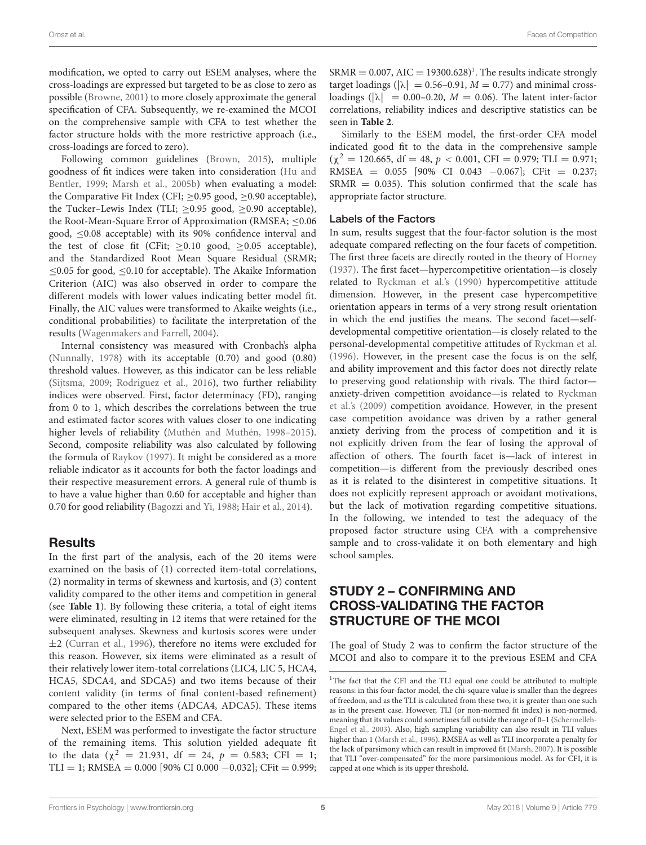modification, we opted to carry out ESEM analyses, where the cross-loadings are expressed but targeted to be as close to zero as possible [\(Browne,](#page-13-24) [2001\)](#page-13-24) to more closely approximate the general specification of CFA. Subsequently, we re-examined the MCOI on the comprehensive sample with CFA to test whether the factor structure holds with the more restrictive approach (i.e., cross-loadings are forced to zero).

Following common guidelines [\(Brown,](#page-13-25) [2015\)](#page-13-25), multiple goodness of fit indices were taken into consideration [\(Hu and](#page-14-21) [Bentler,](#page-14-21) [1999;](#page-14-21) [Marsh et al.,](#page-14-22) [2005b\)](#page-14-22) when evaluating a model: the Comparative Fit Index (CFI; ≥0.95 good, ≥0.90 acceptable), the Tucker–Lewis Index (TLI;  $\geq$ 0.95 good,  $\geq$ 0.90 acceptable), the Root-Mean-Square Error of Approximation (RMSEA; ≤0.06 good, ≤0.08 acceptable) with its 90% confidence interval and the test of close fit (CFit;  $\geq 0.10$  good,  $\geq 0.05$  acceptable), and the Standardized Root Mean Square Residual (SRMR; ≤0.05 for good, ≤0.10 for acceptable). The Akaike Information Criterion (AIC) was also observed in order to compare the different models with lower values indicating better model fit. Finally, the AIC values were transformed to Akaike weights (i.e., conditional probabilities) to facilitate the interpretation of the results [\(Wagenmakers and Farrell,](#page-15-16) [2004\)](#page-15-16).

Internal consistency was measured with Cronbach's alpha [\(Nunnally,](#page-14-23) [1978\)](#page-14-23) with its acceptable (0.70) and good (0.80) threshold values. However, as this indicator can be less reliable [\(Sijtsma,](#page-15-17) [2009;](#page-15-17) [Rodriguez et al.,](#page-15-18) [2016\)](#page-15-18), two further reliability indices were observed. First, factor determinacy (FD), ranging from 0 to 1, which describes the correlations between the true and estimated factor scores with values closer to one indicating higher levels of reliability [\(Muthén and Muthén,](#page-14-13) [1998–2015\)](#page-14-13). Second, composite reliability was also calculated by following the formula of [Raykov](#page-14-24) [\(1997\)](#page-14-24). It might be considered as a more reliable indicator as it accounts for both the factor loadings and their respective measurement errors. A general rule of thumb is to have a value higher than 0.60 for acceptable and higher than 0.70 for good reliability [\(Bagozzi and Yi,](#page-13-26) [1988;](#page-13-26) [Hair et al.,](#page-13-27) [2014\)](#page-13-27).

### **Results**

In the first part of the analysis, each of the 20 items were examined on the basis of (1) corrected item-total correlations, (2) normality in terms of skewness and kurtosis, and (3) content validity compared to the other items and competition in general (see **[Table 1](#page-5-0)**). By following these criteria, a total of eight items were eliminated, resulting in 12 items that were retained for the subsequent analyses. Skewness and kurtosis scores were under ±2 [\(Curran et al.,](#page-13-22) [1996\)](#page-13-22), therefore no items were excluded for this reason. However, six items were eliminated as a result of their relatively lower item-total correlations (LIC4, LIC 5, HCA4, HCA5, SDCA4, and SDCA5) and two items because of their content validity (in terms of final content-based refinement) compared to the other items (ADCA4, ADCA5). These items were selected prior to the ESEM and CFA.

Next, ESEM was performed to investigate the factor structure of the remaining items. This solution yielded adequate fit to the data ( $\chi^2 = 21.931$ , df = 24,  $p = 0.583$ ; CFI = 1; TLI = 1; RMSEA =  $0.000$  [90% CI  $0.000 - 0.032$ ]; CFit = 0.999;  $SRMR = 0.007$ ,  $AIC = 19300.628$  $AIC = 19300.628$  $AIC = 19300.628$ <sup>1</sup>. The results indicate strongly target loadings ( $|\lambda| = 0.56-0.91$ ,  $M = 0.77$ ) and minimal crossloadings ( $|\lambda| = 0.00 - 0.20$ ,  $M = 0.06$ ). The latent inter-factor correlations, reliability indices and descriptive statistics can be seen in **[Table 2](#page-6-0)**.

Similarly to the ESEM model, the first-order CFA model indicated good fit to the data in the comprehensive sample  $(\chi^2 = 120.665, df = 48, p < 0.001, CFI = 0.979; TLI = 0.971;$ RMSEA =  $0.055$  [90% CI 0.043 -0.067]; CFit = 0.237;  $SRMR = 0.035$ ). This solution confirmed that the scale has appropriate factor structure.

### Labels of the Factors

In sum, results suggest that the four-factor solution is the most adequate compared reflecting on the four facets of competition. The first three facets are directly rooted in the theory of [Horney](#page-14-9) [\(1937\)](#page-14-9). The first facet—hypercompetitive orientation—is closely related to [Ryckman et al.'](#page-15-0)s [\(1990\)](#page-15-0) hypercompetitive attitude dimension. However, in the present case hypercompetitive orientation appears in terms of a very strong result orientation in which the end justifies the means. The second facet—selfdevelopmental competitive orientation—is closely related to the personal-developmental competitive attitudes of [Ryckman et al.](#page-15-1) [\(1996\)](#page-15-1). However, in the present case the focus is on the self, and ability improvement and this factor does not directly relate to preserving good relationship with rivals. The third factor anxiety-driven competition avoidance—is related to [Ryckman](#page-15-2) [et al.'](#page-15-2)s [\(2009\)](#page-15-2) competition avoidance. However, in the present case competition avoidance was driven by a rather general anxiety deriving from the process of competition and it is not explicitly driven from the fear of losing the approval of affection of others. The fourth facet is—lack of interest in competition—is different from the previously described ones as it is related to the disinterest in competitive situations. It does not explicitly represent approach or avoidant motivations, but the lack of motivation regarding competitive situations. In the following, we intended to test the adequacy of the proposed factor structure using CFA with a comprehensive sample and to cross-validate it on both elementary and high school samples.

# STUDY 2 – CONFIRMING AND CROSS-VALIDATING THE FACTOR STRUCTURE OF THE MCOI

The goal of Study 2 was to confirm the factor structure of the MCOI and also to compare it to the previous ESEM and CFA

<span id="page-4-0"></span><sup>&</sup>lt;sup>1</sup>The fact that the CFI and the TLI equal one could be attributed to multiple reasons: in this four-factor model, the chi-square value is smaller than the degrees of freedom, and as the TLI is calculated from these two, it is greater than one such as in the present case. However, TLI (or non-normed fit index) is non-normed, meaning that its values could sometimes fall outside the range of 0–1 [\(Schermelleh-](#page-15-19)[Engel et al.,](#page-15-19) [2003\)](#page-15-19). Also, high sampling variability can also result in TLI values higher than 1 [\(Marsh et al.,](#page-14-25) [1996\)](#page-14-25). RMSEA as well as TLI incorporate a penalty for the lack of parsimony which can result in improved fit [\(Marsh,](#page-14-26) [2007\)](#page-14-26). It is possible that TLI "over-compensated" for the more parsimonious model. As for CFI, it is capped at one which is its upper threshold.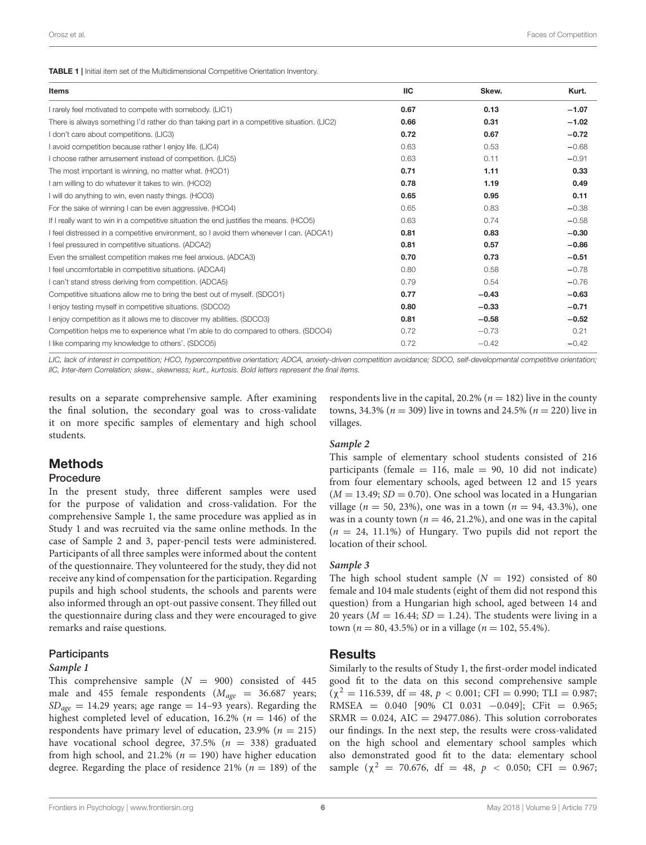<span id="page-5-0"></span>

| Items                                                                                       | ПC   | Skew.   | Kurt.   |
|---------------------------------------------------------------------------------------------|------|---------|---------|
| I rarely feel motivated to compete with somebody. (LIC1)                                    | 0.67 | 0.13    | $-1.07$ |
| There is always something I'd rather do than taking part in a competitive situation. (LIC2) | 0.66 | 0.31    | $-1.02$ |
| I don't care about competitions. (LIC3)                                                     | 0.72 | 0.67    | $-0.72$ |
| I avoid competition because rather I enjoy life. (LIC4)                                     | 0.63 | 0.53    | $-0.68$ |
| I choose rather amusement instead of competition. (LIC5)                                    | 0.63 | 0.11    | $-0.91$ |
| The most important is winning, no matter what. (HCO1)                                       | 0.71 | 1.11    | 0.33    |
| I am willing to do whatever it takes to win. (HCO2)                                         | 0.78 | 1.19    | 0.49    |
| I will do anything to win, even nasty things. (HCO3)                                        | 0.65 | 0.95    | 0.11    |
| For the sake of winning I can be even aggressive. (HCO4)                                    | 0.65 | 0.83    | $-0.38$ |
| If I really want to win in a competitive situation the end justifies the means. (HCO5)      | 0.63 | 0.74    | $-0.58$ |
| I feel distressed in a competitive environment, so I avoid them whenever I can. (ADCA1)     | 0.81 | 0.83    | $-0.30$ |
| I feel pressured in competitive situations. (ADCA2)                                         | 0.81 | 0.57    | $-0.86$ |
| Even the smallest competition makes me feel anxious. (ADCA3)                                | 0.70 | 0.73    | $-0.51$ |
| I feel uncomfortable in competitive situations. (ADCA4)                                     | 0.80 | 0.58    | $-0.78$ |
| I can't stand stress deriving from competition. (ADCA5)                                     | 0.79 | 0.54    | $-0.76$ |
| Competitive situations allow me to bring the best out of myself. (SDCO1)                    | 0.77 | $-0.43$ | $-0.63$ |
| I enjoy testing myself in competitive situations. (SDCO2)                                   | 0.80 | $-0.33$ | $-0.71$ |
| I enjoy competition as it allows me to discover my abilities. (SDCO3)                       | 0.81 | $-0.58$ | $-0.52$ |
| Competition helps me to experience what I'm able to do compared to others. (SDCO4)          | 0.72 | $-0.73$ | 0.21    |
| I like comparing my knowledge to others'. (SDCO5)                                           | 0.72 | $-0.42$ | $-0.42$ |

LIC, lack of interest in competition; HCO, hypercompetitive orientation; ADCA, anxiety-driven competition avoidance; SDCO, self-developmental competitive orientation; IIC, Inter-item Correlation; skew., skewness; kurt., kurtosis. Bold letters represent the final items.

results on a separate comprehensive sample. After examining the final solution, the secondary goal was to cross-validate it on more specific samples of elementary and high school students.

### Methods

#### Procedure

In the present study, three different samples were used for the purpose of validation and cross-validation. For the comprehensive Sample 1, the same procedure was applied as in Study 1 and was recruited via the same online methods. In the case of Sample 2 and 3, paper-pencil tests were administered. Participants of all three samples were informed about the content of the questionnaire. They volunteered for the study, they did not receive any kind of compensation for the participation. Regarding pupils and high school students, the schools and parents were also informed through an opt-out passive consent. They filled out the questionnaire during class and they were encouraged to give remarks and raise questions.

#### **Participants**

#### **Sample 1**

This comprehensive sample  $(N = 900)$  consisted of 445 male and 455 female respondents ( $M_{age}$  = 36.687 years;  $SD_{\text{age}} = 14.29$  years; age range = 14–93 years). Regarding the highest completed level of education, 16.2% ( $n = 146$ ) of the respondents have primary level of education, 23.9% ( $n = 215$ ) have vocational school degree,  $37.5\%$  ( $n = 338$ ) graduated from high school, and 21.2% ( $n = 190$ ) have higher education degree. Regarding the place of residence 21% ( $n = 189$ ) of the

respondents live in the capital,  $20.2\%$  ( $n = 182$ ) live in the county towns, 34.3% ( $n = 309$ ) live in towns and 24.5% ( $n = 220$ ) live in villages.

#### **Sample 2**

This sample of elementary school students consisted of 216 participants (female  $= 116$ , male  $= 90$ , 10 did not indicate) from four elementary schools, aged between 12 and 15 years  $(M = 13.49; SD = 0.70)$ . One school was located in a Hungarian village ( $n = 50, 23\%$ ), one was in a town ( $n = 94, 43.3\%$ ), one was in a county town ( $n = 46, 21.2\%$ ), and one was in the capital  $(n = 24, 11.1%)$  of Hungary. Two pupils did not report the location of their school.

#### **Sample 3**

The high school student sample  $(N = 192)$  consisted of 80 female and 104 male students (eight of them did not respond this question) from a Hungarian high school, aged between 14 and 20 years ( $M = 16.44$ ;  $SD = 1.24$ ). The students were living in a town ( $n = 80, 43.5\%$ ) or in a village ( $n = 102, 55.4\%$ ).

#### **Results**

Similarly to the results of Study 1, the first-order model indicated good fit to the data on this second comprehensive sample  $(\chi^2 = 116.539, df = 48, p < 0.001; CFI = 0.990; TLI = 0.987;$ RMSEA = 0.040 [90% CI 0.031 −0.049]; CFit = 0.965;  $SRMR = 0.024$ ,  $AIC = 29477.086$ ). This solution corroborates our findings. In the next step, the results were cross-validated on the high school and elementary school samples which also demonstrated good fit to the data: elementary school sample ( $\chi^2$  = 70.676, df = 48,  $p$  < 0.050; CFI = 0.967;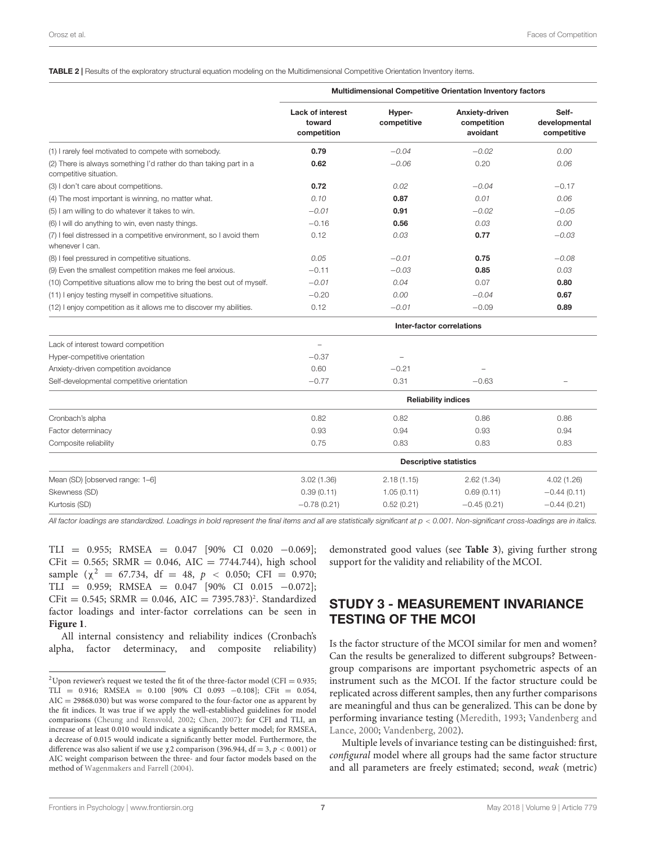#### <span id="page-6-0"></span>TABLE 2 | Results of the exploratory structural equation modeling on the Multidimensional Competitive Orientation Inventory items.

|                                                                                             | <b>Multidimensional Competitive Orientation Inventory factors</b> |                       |                                           |                                       |  |  |  |
|---------------------------------------------------------------------------------------------|-------------------------------------------------------------------|-----------------------|-------------------------------------------|---------------------------------------|--|--|--|
|                                                                                             | <b>Lack of interest</b><br>toward<br>competition                  | Hyper-<br>competitive | Anxiety-driven<br>competition<br>avoidant | Self-<br>developmental<br>competitive |  |  |  |
| (1) I rarely feel motivated to compete with somebody.                                       | 0.79                                                              | $-0.04$               | $-0.02$                                   | 0.00                                  |  |  |  |
| (2) There is always something I'd rather do than taking part in a<br>competitive situation. | 0.62                                                              | $-0.06$               | 0.20                                      | 0.06                                  |  |  |  |
| (3) I don't care about competitions.                                                        | 0.72                                                              | 0.02                  | $-0.04$                                   | $-0.17$                               |  |  |  |
| (4) The most important is winning, no matter what.                                          | 0.10                                                              | 0.87                  | 0.01                                      | 0.06                                  |  |  |  |
| (5) I am willing to do whatever it takes to win.                                            | $-0.01$                                                           | 0.91                  | $-0.02$                                   | $-0.05$                               |  |  |  |
| (6) I will do anything to win, even nasty things.                                           | $-0.16$                                                           | 0.56                  | 0.03                                      | 0.00                                  |  |  |  |
| (7) I feel distressed in a competitive environment, so I avoid them<br>whenever I can.      | 0.12                                                              | 0.03                  | 0.77                                      | $-0.03$                               |  |  |  |
| (8) I feel pressured in competitive situations.                                             | 0.05                                                              | $-0.01$               | 0.75                                      | $-0.08$                               |  |  |  |
| (9) Even the smallest competition makes me feel anxious.                                    | $-0.11$                                                           | $-0.03$               | 0.85                                      | 0.03                                  |  |  |  |
| (10) Competitive situations allow me to bring the best out of myself.                       | $-0.01$                                                           | 0.04                  | 0.07                                      | 0.80                                  |  |  |  |
| (11) I enjoy testing myself in competitive situations.                                      | $-0.20$                                                           | 0.00                  | $-0.04$                                   | 0.67                                  |  |  |  |
| (12) I enjoy competition as it allows me to discover my abilities.                          | 0.12                                                              | $-0.01$               | $-0.09$                                   | 0.89                                  |  |  |  |
|                                                                                             |                                                                   |                       | Inter-factor correlations                 |                                       |  |  |  |
| Lack of interest toward competition                                                         | $\overline{\phantom{0}}$                                          |                       |                                           |                                       |  |  |  |
| Hyper-competitive orientation                                                               | $-0.37$                                                           |                       |                                           |                                       |  |  |  |
| Anxiety-driven competition avoidance                                                        | 0.60                                                              | $-0.21$               |                                           |                                       |  |  |  |
| Self-developmental competitive orientation                                                  | $-0.77$                                                           | 0.31                  | $-0.63$                                   | $\overline{\phantom{0}}$              |  |  |  |
|                                                                                             |                                                                   |                       | <b>Reliability indices</b>                |                                       |  |  |  |
| Cronbach's alpha                                                                            | 0.82                                                              | 0.82                  | 0.86                                      | 0.86                                  |  |  |  |
| Factor determinacy                                                                          | 0.93                                                              | 0.94                  | 0.93                                      | 0.94                                  |  |  |  |
| Composite reliability                                                                       | 0.75                                                              | 0.83                  | 0.83                                      | 0.83                                  |  |  |  |
|                                                                                             | <b>Descriptive statistics</b>                                     |                       |                                           |                                       |  |  |  |
| Mean (SD) [observed range: 1-6]                                                             | 3.02(1.36)                                                        | 2.18(1.15)            | 2.62(1.34)                                | 4.02(1.26)                            |  |  |  |
| Skewness (SD)                                                                               | 0.39(0.11)                                                        | 1.05(0.11)            | 0.69(0.11)                                | $-0.44(0.11)$                         |  |  |  |
| Kurtosis (SD)                                                                               | $-0.78(0.21)$                                                     | 0.52(0.21)            | $-0.45(0.21)$                             | $-0.44(0.21)$                         |  |  |  |

All factor loadings are standardized. Loadings in bold represent the final items and all are statistically significant at p < 0.001. Non-significant cross-loadings are in italics.

TLI = 0.955; RMSEA =  $0.047$  [90% CI 0.020 -0.069];  $CFit = 0.565$ ; SRMR = 0.046, AIC = 7744.744), high school sample ( $\chi^2$  = 67.734, df = 48,  $p$  < 0.050; CFI = 0.970; TLI = 0.959; RMSEA = 0.047 [90% CI 0.015 −0.072];  $CFit = 0.545$ ; SRMR = 0.046, AIC = 7395.783)<sup>[2](#page-6-1)</sup>. Standardized factor loadings and inter-factor correlations can be seen in **[Figure 1](#page-7-0)**.

All internal consistency and reliability indices (Cronbach's alpha, factor determinacy, and composite reliability)

demonstrated good values (see **[Table 3](#page-7-1)**), giving further strong support for the validity and reliability of the MCOI.

### STUDY 3 - MEASUREMENT INVARIANCE TESTING OF THE MCOI

Is the factor structure of the MCOI similar for men and women? Can the results be generalized to different subgroups? Betweengroup comparisons are important psychometric aspects of an instrument such as the MCOI. If the factor structure could be replicated across different samples, then any further comparisons are meaningful and thus can be generalized. This can be done by performing invariance testing [\(Meredith,](#page-14-27) [1993;](#page-14-27) [Vandenberg and](#page-15-20) [Lance,](#page-15-20) [2000;](#page-15-20) [Vandenberg,](#page-15-21) [2002\)](#page-15-21).

Multiple levels of invariance testing can be distinguished: first, configural model where all groups had the same factor structure and all parameters are freely estimated; second, weak (metric)

<span id="page-6-1"></span><sup>&</sup>lt;sup>2</sup>Upon reviewer's request we tested the fit of the three-factor model (CFI =  $0.935$ ; TLI = 0.916; RMSEA = 0.100 [90% CI 0.093 -0.108]; CFit = 0.054,  $AIC = 29868.030$  but was worse compared to the four-factor one as apparent by the fit indices. It was true if we apply the well-established guidelines for model comparisons [\(Cheung and Rensvold,](#page-13-28) [2002;](#page-13-28) [Chen,](#page-13-29) [2007\)](#page-13-29): for CFI and TLI, an increase of at least 0.010 would indicate a significantly better model; for RMSEA, a decrease of 0.015 would indicate a significantly better model. Furthermore, the difference was also salient if we use  $\chi$ 2 comparison (396.944, df = 3, p < 0.001) or AIC weight comparison between the three- and four factor models based on the method of [Wagenmakers and Farrell](#page-15-16) [\(2004\)](#page-15-16).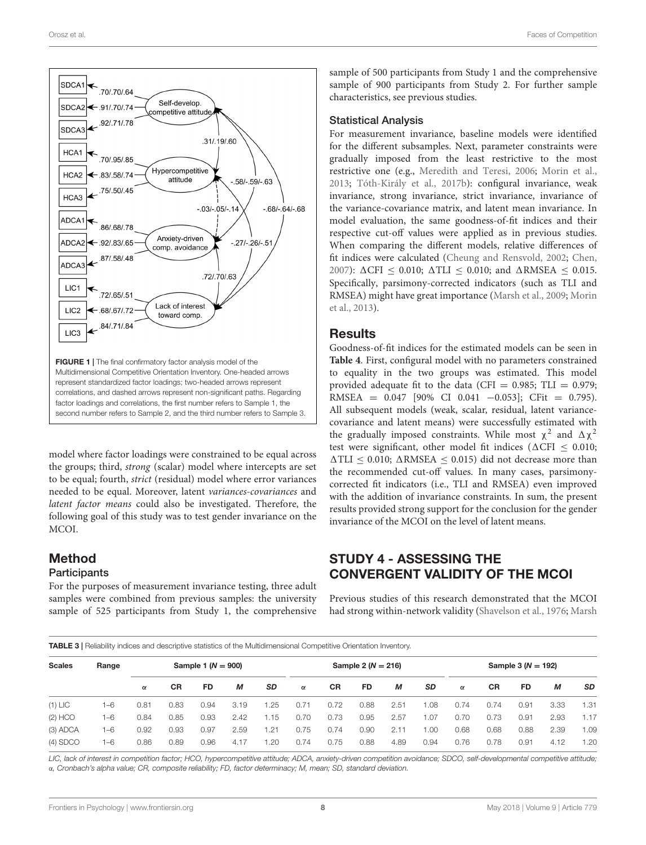

<span id="page-7-0"></span>model where factor loadings were constrained to be equal across the groups; third, strong (scalar) model where intercepts are set to be equal; fourth, strict (residual) model where error variances needed to be equal. Moreover, latent variances-covariances and latent factor means could also be investigated. Therefore, the following goal of this study was to test gender invariance on the MCOI.

# Method

### **Participants**

For the purposes of measurement invariance testing, three adult samples were combined from previous samples: the university sample of 525 participants from Study 1, the comprehensive sample of 500 participants from Study 1 and the comprehensive sample of 900 participants from Study 2. For further sample characteristics, see previous studies.

#### Statistical Analysis

For measurement invariance, baseline models were identified for the different subsamples. Next, parameter constraints were gradually imposed from the least restrictive to the most restrictive one (e.g., [Meredith and Teresi,](#page-14-28) [2006;](#page-14-28) [Morin et al.,](#page-14-17) [2013;](#page-14-17) [Tóth-Király et al.,](#page-15-22) [2017b\)](#page-15-22): configural invariance, weak invariance, strong invariance, strict invariance, invariance of the variance-covariance matrix, and latent mean invariance. In model evaluation, the same goodness-of-fit indices and their respective cut-off values were applied as in previous studies. When comparing the different models, relative differences of fit indices were calculated [\(Cheung and Rensvold,](#page-13-28) [2002;](#page-13-28) [Chen,](#page-13-29) [2007\)](#page-13-29):  $\Delta$ CFI < 0.010;  $\Delta$ TLI < 0.010; and  $\Delta$ RMSEA < 0.015. Specifically, parsimony-corrected indicators (such as TLI and RMSEA) might have great importance [\(Marsh et al.,](#page-14-16) [2009;](#page-14-16) [Morin](#page-14-17) [et al.,](#page-14-17) [2013\)](#page-14-17).

### **Results**

Goodness-of-fit indices for the estimated models can be seen in **[Table 4](#page-8-0)**. First, configural model with no parameters constrained to equality in the two groups was estimated. This model provided adequate fit to the data (CFI =  $0.985$ ; TLI =  $0.979$ ; RMSEA =  $0.047$  [90% CI 0.041 -0.053]; CFit = 0.795). All subsequent models (weak, scalar, residual, latent variancecovariance and latent means) were successfully estimated with the gradually imposed constraints. While most  $\chi^2$  and  $\Delta \chi^2$ test were significant, other model fit indices ( $\Delta$ CFI  $\leq$  0.010;  $\Delta TLI \leq 0.010$ ;  $\Delta RMSEA \leq 0.015$ ) did not decrease more than the recommended cut-off values. In many cases, parsimonycorrected fit indicators (i.e., TLI and RMSEA) even improved with the addition of invariance constraints. In sum, the present results provided strong support for the conclusion for the gender invariance of the MCOI on the level of latent means.

# STUDY 4 - ASSESSING THE CONVERGENT VALIDITY OF THE MCOI

Previous studies of this research demonstrated that the MCOI had strong within-network validity [\(Shavelson et al.,](#page-15-12) [1976;](#page-15-12) [Marsh](#page-14-11)

<span id="page-7-1"></span>TABLE 3 | Reliability indices and descriptive statistics of the Multidimensional Competitive Orientation Inventory.

| <b>Scales</b><br>Range | Sample 1 ( $N = 900$ ) |          |           |      |      | Sample 2 ( $N = 216$ ) |          |      |      | Sample 3 $(N = 192)$ |      |          |           |      |      |           |
|------------------------|------------------------|----------|-----------|------|------|------------------------|----------|------|------|----------------------|------|----------|-----------|------|------|-----------|
|                        |                        | $\alpha$ | <b>CR</b> | FD   | М    | <b>SD</b>              | $\alpha$ | СR   | FD   | М                    | SD   | $\alpha$ | <b>CR</b> | FD   | М    | <b>SD</b> |
| $(1)$ LIC              | 1-6                    | 0.81     | 0.83      | 0.94 | 3.19 | 1.25                   | 0.71     | 0.72 | 0.88 | 2.51                 | 1.08 | 0.74     | 0.74      | 0.91 | 3.33 | 1.31      |
| $(2)$ HCO              | $1 - 6$                | 0.84     | 0.85      | 0.93 | 2.42 | 1.15                   | 0.70     | 0.73 | 0.95 | 2.57                 | 1.07 | 0.70     | 0.73      | 0.91 | 2.93 | 1.17      |
| (3) ADCA               | $1 - 6$                | 0.92     | 0.93      | 0.97 | 2.59 | 1.21                   | 0.75     | 0.74 | 0.90 | 2.11                 | 1.00 | 0.68     | 0.68      | 0.88 | 2.39 | 1.09      |
| $(4)$ SDCO             | 1-6                    | 0.86     | 0.89      | 0.96 | 4.17 | 1.20                   | 0.74     | 0.75 | 0.88 | 4.89                 | 0.94 | 0.76     | 0.78      | 0.91 | 4.12 | 1.20      |

LIC, lack of interest in competition factor; HCO, hypercompetitive attitude; ADCA, anxiety-driven competition avoidance; SDCO, self-developmental competitive attitude; α, Cronbach's alpha value; CR, composite reliability; FD, factor determinacy; M, mean; SD, standard deviation.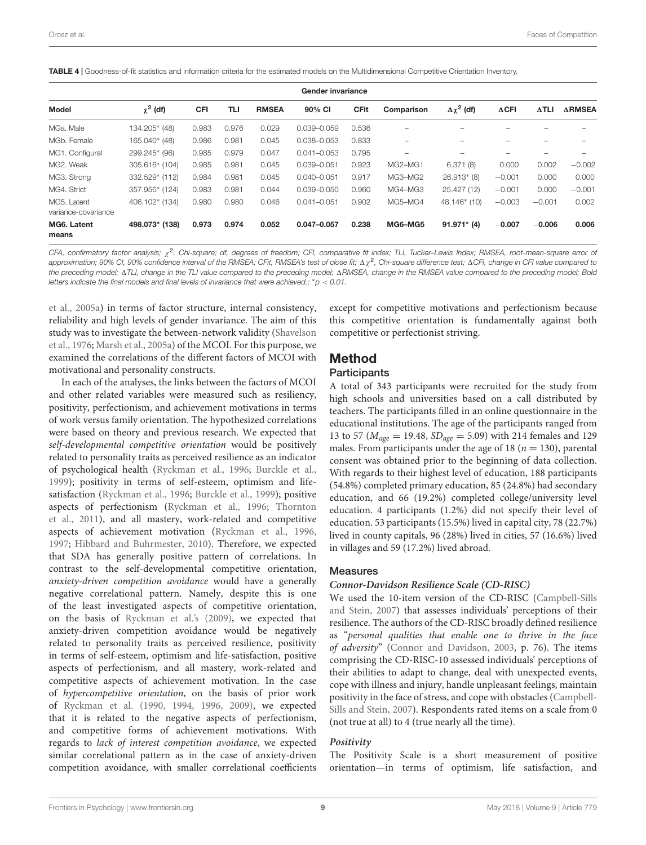<span id="page-8-0"></span>TABLE 4 | Goodness-of-fit statistics and information criteria for the estimated models on the Multidimensional Competitive Orientation Inventory.

| Gender invariance                  |                |       |       |              |                 |             |            |                      |                 |              |               |
|------------------------------------|----------------|-------|-------|--------------|-----------------|-------------|------------|----------------------|-----------------|--------------|---------------|
| Model                              | $\chi^2$ (df)  | CFI   | TLI   | <b>RMSEA</b> | 90% CI          | <b>CFit</b> | Comparison | $\Delta \chi^2$ (df) | $\triangle$ CFI | $\Delta$ TLI | <b>ARMSEA</b> |
| MGa, Male                          | 134.205* (48)  | 0.983 | 0.976 | 0.029        | $0.039 - 0.059$ | 0.536       |            |                      |                 |              |               |
| MGb. Female                        | 165.040* (48)  | 0.986 | 0.981 | 0.045        | 0.038-0.053     | 0.833       |            |                      |                 |              |               |
| MG1. Configural                    | 299.245* (96)  | 0.985 | 0.979 | 0.047        | $0.041 - 0.053$ | 0.795       |            |                      |                 |              |               |
| MG2. Weak                          | 305.616* (104) | 0.985 | 0.981 | 0.045        | 0.039-0.051     | 0.923       | MG2-MG1    | 6.371(8)             | 0.000           | 0.002        | $-0.002$      |
| MG3. Strong                        | 332.529* (112) | 0.984 | 0.981 | 0.045        | $0.040 - 0.051$ | 0.917       | MG3-MG2    | $26.913*$ (8)        | $-0.001$        | 0.000        | 0.000         |
| MG4. Strict                        | 357.956* (124) | 0.983 | 0.981 | 0.044        | 0.039-0.050     | 0.960       | MG4-MG3    | 25.427 (12)          | $-0.001$        | 0.000        | $-0.001$      |
| MG5. Latent<br>variance-covariance | 406.102* (134) | 0.980 | 0.980 | 0.046        | $0.041 - 0.051$ | 0.902       | MG5-MG4    | 48.146* (10)         | $-0.003$        | $-0.001$     | 0.002         |
| MG6. Latent                        | 498.073* (138) | 0.973 | 0.974 | 0.052        | 0.047-0.057     | 0.238       | MG6-MG5    | $91.971*$ (4)        | $-0.007$        | $-0.006$     | 0.006         |
| means                              |                |       |       |              |                 |             |            |                      |                 |              |               |

CFA, confirmatory factor analysis; χ<sup>2</sup>, Chi-square; df, degrees of freedom; CFI, comparative fit index; TLI, Tucker–Lewis Index; RMSEA, root-mean-square error oi approximation; 90% CI, 90% confidence interval of the RMSEA; CFit, RMSEA's test of close fit;  $\Delta\chi^2$ , Chi-square difference test;  $\Delta$ CFI, change in CFI value compared to the preceding model;  $\Delta TLI$ , change in the TLI value compared to the preceding model;  $\Delta RMSEA$ , change in the RMSEA value compared to the preceding model; Bold letters indicate the final models and final levels of invariance that were achieved.;  $*p < 0.01$ .

[et al.,](#page-14-11) [2005a\)](#page-14-11) in terms of factor structure, internal consistency, reliability and high levels of gender invariance. The aim of this study was to investigate the between-network validity [\(Shavelson](#page-15-12) [et al.,](#page-15-12) [1976;](#page-15-12) [Marsh et al.,](#page-14-11) [2005a\)](#page-14-11) of the MCOI. For this purpose, we examined the correlations of the different factors of MCOI with motivational and personality constructs.

In each of the analyses, the links between the factors of MCOI and other related variables were measured such as resiliency, positivity, perfectionism, and achievement motivations in terms of work versus family orientation. The hypothesized correlations were based on theory and previous research. We expected that self-developmental competitive orientation would be positively related to personality traits as perceived resilience as an indicator of psychological health [\(Ryckman et al.,](#page-15-1) [1996;](#page-15-1) [Burckle et al.,](#page-13-12) [1999\)](#page-13-12); positivity in terms of self-esteem, optimism and lifesatisfaction [\(Ryckman et al.,](#page-15-1) [1996;](#page-15-1) [Burckle et al.,](#page-13-12) [1999\)](#page-13-12); positive aspects of perfectionism [\(Ryckman et al.,](#page-15-1) [1996;](#page-15-1) [Thornton](#page-15-23) [et al.,](#page-15-23) [2011\)](#page-15-23), and all mastery, work-related and competitive aspects of achievement motivation [\(Ryckman et al.,](#page-15-1) [1996,](#page-15-1) [1997;](#page-15-9) [Hibbard and Buhrmester,](#page-14-7) [2010\)](#page-14-7). Therefore, we expected that SDA has generally positive pattern of correlations. In contrast to the self-developmental competitive orientation, anxiety-driven competition avoidance would have a generally negative correlational pattern. Namely, despite this is one of the least investigated aspects of competitive orientation, on the basis of [Ryckman et al.'s](#page-15-2) [\(2009\)](#page-15-2), we expected that anxiety-driven competition avoidance would be negatively related to personality traits as perceived resilience, positivity in terms of self-esteem, optimism and life-satisfaction, positive aspects of perfectionism, and all mastery, work-related and competitive aspects of achievement motivation. In the case of hypercompetitive orientation, on the basis of prior work of [Ryckman et al.](#page-15-0) [\(1990,](#page-15-0) [1994,](#page-15-7) [1996,](#page-15-1) [2009\)](#page-15-2), we expected that it is related to the negative aspects of perfectionism, and competitive forms of achievement motivations. With regards to lack of interest competition avoidance, we expected similar correlational pattern as in the case of anxiety-driven competition avoidance, with smaller correlational coefficients

except for competitive motivations and perfectionism because this competitive orientation is fundamentally against both competitive or perfectionist striving.

### Method

#### **Participants**

A total of 343 participants were recruited for the study from high schools and universities based on a call distributed by teachers. The participants filled in an online questionnaire in the educational institutions. The age of the participants ranged from 13 to 57 ( $M_{age} = 19.48$ ,  $SD_{age} = 5.09$ ) with 214 females and 129 males. From participants under the age of 18 ( $n = 130$ ), parental consent was obtained prior to the beginning of data collection. With regards to their highest level of education, 188 participants (54.8%) completed primary education, 85 (24.8%) had secondary education, and 66 (19.2%) completed college/university level education. 4 participants (1.2%) did not specify their level of education. 53 participants (15.5%) lived in capital city, 78 (22.7%) lived in county capitals, 96 (28%) lived in cities, 57 (16.6%) lived in villages and 59 (17.2%) lived abroad.

### Measures

#### **Connor-Davidson Resilience Scale (CD-RISC)**

We used the 10-item version of the CD-RISC [\(Campbell-Sills](#page-13-30) [and Stein,](#page-13-30) [2007\)](#page-13-30) that assesses individuals' perceptions of their resilience. The authors of the CD-RISC broadly defined resilience as "personal qualities that enable one to thrive in the face of adversity" [\(Connor and Davidson,](#page-13-31) [2003,](#page-13-31) p. 76). The items comprising the CD-RISC-10 assessed individuals' perceptions of their abilities to adapt to change, deal with unexpected events, cope with illness and injury, handle unpleasant feelings, maintain positivity in the face of stress, and cope with obstacles [\(Campbell-](#page-13-30)[Sills and Stein,](#page-13-30) [2007\)](#page-13-30). Respondents rated items on a scale from 0 (not true at all) to 4 (true nearly all the time).

### **Positivity**

The Positivity Scale is a short measurement of positive orientation—in terms of optimism, life satisfaction, and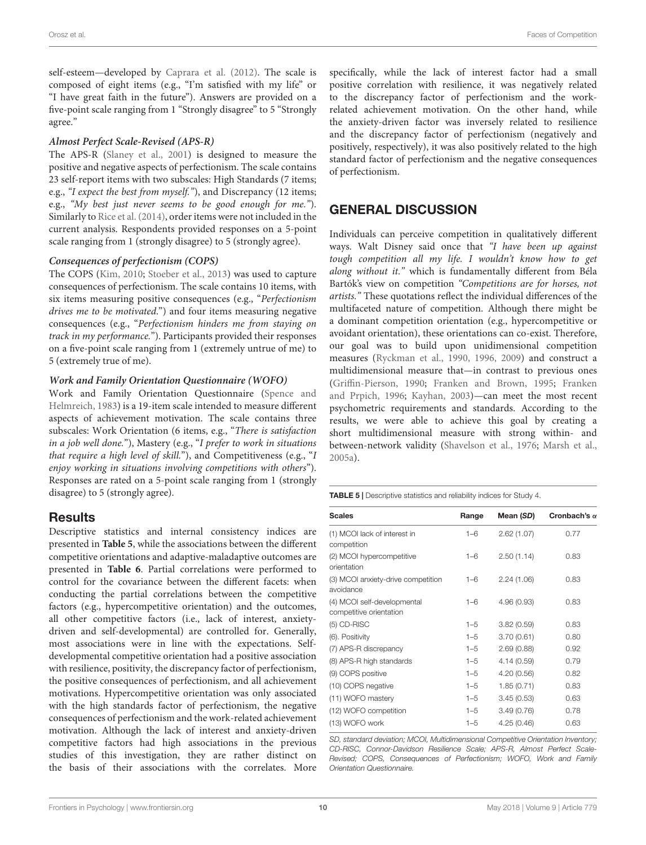self-esteem—developed by [Caprara et al.](#page-13-32) [\(2012\)](#page-13-32). The scale is composed of eight items (e.g., "I'm satisfied with my life" or "I have great faith in the future"). Answers are provided on a five-point scale ranging from 1 "Strongly disagree" to 5 "Strongly agree."

### **Almost Perfect Scale-Revised (APS-R)**

The APS-R [\(Slaney et al.,](#page-15-24) [2001\)](#page-15-24) is designed to measure the positive and negative aspects of perfectionism. The scale contains 23 self-report items with two subscales: High Standards (7 items; e.g., "I expect the best from myself."), and Discrepancy (12 items; e.g., "My best just never seems to be good enough for me."). Similarly to [Rice et al.](#page-14-29) [\(2014\)](#page-14-29), order items were not included in the current analysis. Respondents provided responses on a 5-point scale ranging from 1 (strongly disagree) to 5 (strongly agree).

### **Consequences of perfectionism (COPS)**

The COPS [\(Kim,](#page-14-30) [2010;](#page-14-30) [Stoeber et al.,](#page-15-25) [2013\)](#page-15-25) was used to capture consequences of perfectionism. The scale contains 10 items, with six items measuring positive consequences (e.g., "Perfectionism drives me to be motivated.") and four items measuring negative consequences (e.g., "Perfectionism hinders me from staying on track in my performance."). Participants provided their responses on a five-point scale ranging from 1 (extremely untrue of me) to 5 (extremely true of me).

### **Work and Family Orientation Questionnaire (WOFO)**

Work and Family Orientation Questionnaire [\(Spence and](#page-15-26) [Helmreich,](#page-15-26) [1983\)](#page-15-26) is a 19-item scale intended to measure different aspects of achievement motivation. The scale contains three subscales: Work Orientation (6 items, e.g., "There is satisfaction in a job well done."), Mastery (e.g., "I prefer to work in situations that require a high level of skill."), and Competitiveness (e.g., "I enjoy working in situations involving competitions with others"). Responses are rated on a 5-point scale ranging from 1 (strongly disagree) to 5 (strongly agree).

### Results

Descriptive statistics and internal consistency indices are presented in **[Table 5](#page-9-0)**, while the associations between the different competitive orientations and adaptive-maladaptive outcomes are presented in **[Table 6](#page-10-0)**. Partial correlations were performed to control for the covariance between the different facets: when conducting the partial correlations between the competitive factors (e.g., hypercompetitive orientation) and the outcomes, all other competitive factors (i.e., lack of interest, anxietydriven and self-developmental) are controlled for. Generally, most associations were in line with the expectations. Selfdevelopmental competitive orientation had a positive association with resilience, positivity, the discrepancy factor of perfectionism, the positive consequences of perfectionism, and all achievement motivations. Hypercompetitive orientation was only associated with the high standards factor of perfectionism, the negative consequences of perfectionism and the work-related achievement motivation. Although the lack of interest and anxiety-driven competitive factors had high associations in the previous studies of this investigation, they are rather distinct on the basis of their associations with the correlates. More

specifically, while the lack of interest factor had a small positive correlation with resilience, it was negatively related to the discrepancy factor of perfectionism and the workrelated achievement motivation. On the other hand, while the anxiety-driven factor was inversely related to resilience and the discrepancy factor of perfectionism (negatively and positively, respectively), it was also positively related to the high standard factor of perfectionism and the negative consequences of perfectionism.

# GENERAL DISCUSSION

Individuals can perceive competition in qualitatively different ways. Walt Disney said once that "I have been up against tough competition all my life. I wouldn't know how to get along without it." which is fundamentally different from Béla Bartók's view on competition "Competitions are for horses, not artists." These quotations reflect the individual differences of the multifaceted nature of competition. Although there might be a dominant competition orientation (e.g., hypercompetitive or avoidant orientation), these orientations can co-exist. Therefore, our goal was to build upon unidimensional competition measures [\(Ryckman et al.,](#page-15-0) [1990,](#page-15-0) [1996,](#page-15-1) [2009\)](#page-15-2) and construct a multidimensional measure that—in contrast to previous ones [\(Griffin-Pierson,](#page-13-8) [1990;](#page-13-8) [Franken and Brown,](#page-13-10) [1995;](#page-13-10) [Franken](#page-13-11) [and Prpich,](#page-13-11) [1996;](#page-13-11) [Kayhan,](#page-14-5) [2003\)](#page-14-5)—can meet the most recent psychometric requirements and standards. According to the results, we were able to achieve this goal by creating a short multidimensional measure with strong within- and between-network validity [\(Shavelson et al.,](#page-15-12) [1976;](#page-15-12) [Marsh et al.,](#page-14-11) [2005a\)](#page-14-11).

<span id="page-9-0"></span>TABLE 5 | Descriptive statistics and reliability indices for Study 4.

| <b>Scales</b>                                          | Range   | Mean (SD)   | Cronbach's $\alpha$ |
|--------------------------------------------------------|---------|-------------|---------------------|
| (1) MCOI lack of interest in<br>competition            | $1 - 6$ | 2.62(1.07)  | 0.77                |
| (2) MCOI hypercompetitive<br>orientation               | $1 - 6$ | 2.50(1.14)  | 0.83                |
| (3) MCOI anxiety-drive competition<br>avoidance        | $1 - 6$ | 2.24(1.06)  | 0.83                |
| (4) MCOI self-developmental<br>competitive orientation | $1 - 6$ | 4.96 (0.93) | 0.83                |
| (5) CD-RISC                                            | $1 - 5$ | 3.82(0.59)  | 0.83                |
| (6). Positivity                                        | $1 - 5$ | 3.70(0.61)  | 0.80                |
| (7) APS-R discrepancy                                  | $1 - 5$ | 2.69(0.88)  | 0.92                |
| (8) APS-R high standards                               | $1 - 5$ | 4.14(0.59)  | 0.79                |
| (9) COPS positive                                      | $1 - 5$ | 4.20(0.56)  | 0.82                |
| (10) COPS negative                                     | $1 - 5$ | 1.85(0.71)  | 0.83                |
| (11) WOFO mastery                                      | $1 - 5$ | 3.45(0.53)  | 0.63                |
| (12) WOFO competition                                  | $1 - 5$ | 3.49(0.76)  | 0.78                |
| (13) WOFO work                                         | $1 - 5$ | 4.25(0.46)  | 0.63                |

SD, standard deviation; MCOI, Multidimensional Competitive Orientation Inventory; CD-RISC, Connor-Davidson Resilience Scale; APS-R, Almost Perfect Scale-Revised; COPS, Consequences of Perfectionism; WOFO, Work and Family Orientation Questionnaire.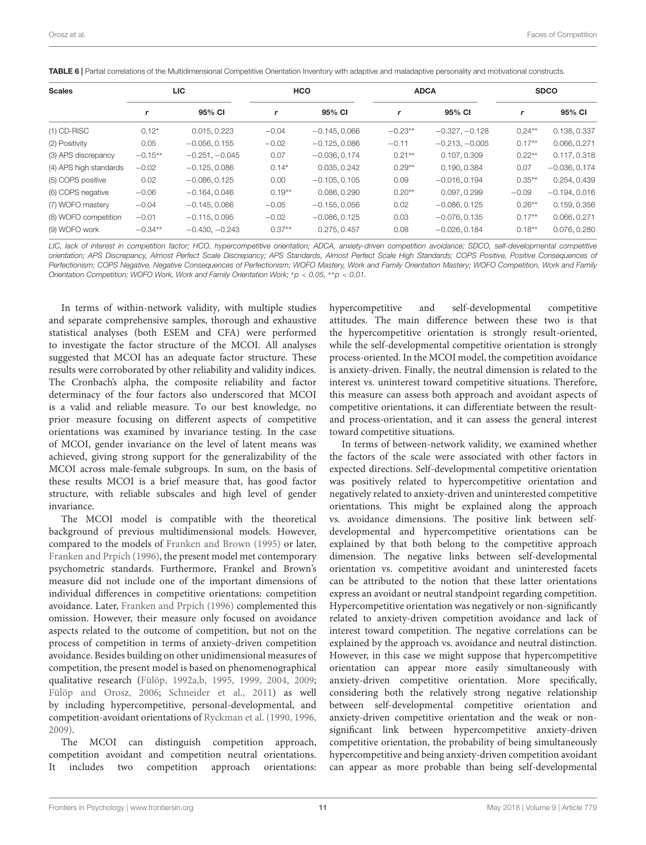<span id="page-10-0"></span>

| <b>Scales</b>          |           | LIC.             |          | <b>HCO</b>      |           | <b>ADCA</b>      | <b>SDCO</b> |                 |  |
|------------------------|-----------|------------------|----------|-----------------|-----------|------------------|-------------|-----------------|--|
|                        |           | 95% CI           |          | 95% CI          |           | 95% CI           | r           | 95% CI          |  |
| $(1)$ CD-RISC          | $0.12*$   | 0.015, 0.223     | $-0.04$  | $-0.145, 0.066$ | $-0.23**$ | $-0.327, -0.128$ | $0.24**$    | 0.138, 0.337    |  |
| (2) Positivity         | 0.05      | $-0.056, 0.155$  | $-0.02$  | $-0.125, 0.086$ | $-0.11$   | $-0.213, -0.005$ | $0.17**$    | 0.066, 0.271    |  |
| (3) APS discrepancy    | $-0.15**$ | $-0.251, -0.045$ | 0.07     | $-0.036, 0.174$ | $0.21**$  | 0.107, 0.309     | $0.22**$    | 0.117, 0.318    |  |
| (4) APS high standards | $-0.02$   | $-0.125, 0.086$  | $0.14*$  | 0.035, 0.242    | $0.29**$  | 0.190, 0.384     | 0.07        | $-0.036, 0.174$ |  |
| (5) COPS positive      | 0.02      | $-0.086, 0.125$  | 0.00     | $-0.105, 0.105$ | 0.09      | $-0.016, 0.194$  | $0.35***$   | 0.254, 0.439    |  |
| (6) COPS negative      | $-0.06$   | $-0.164, 0.046$  | $0.19**$ | 0.086, 0.290    | $0.20**$  | 0.097, 0.299     | $-0.09$     | $-0.194, 0.016$ |  |
| (7) WOFO mastery       | $-0.04$   | $-0.145, 0.066$  | $-0.05$  | $-0.155, 0.056$ | 0.02      | $-0.086, 0.125$  | $0.26**$    | 0.159, 0.356    |  |
| (8) WOFO competition   | $-0.01$   | $-0.115, 0.095$  | $-0.02$  | $-0.086, 0.125$ | 0.03      | $-0.076, 0.135$  | $0.17**$    | 0.066, 0.271    |  |
| (9) WOFO work          | $-0.34**$ | $-0.430, -0.243$ | $0.37**$ | 0.275, 0.457    | 0.08      | $-0.026, 0.184$  | $0.18**$    | 0.076, 0.280    |  |

LIC, lack of interest in competition factor; HCO, hypercompetitive orientation; ADCA, anxiety-driven competition avoidance; SDCO, self-developmental competitive orientation; APS Discrepancy, Almost Perfect Scale Discrepancy; APS Standards, Almost Perfect Scale High Standards; COPS Positive, Positive Consequences of Perfectionism; COPS Negative, Negative Consequences of Perfectionism; WOFO Mastery, Work and Family Orientation Mastery; WOFO Competition, Work and Family Orientation Competition; WOFO Work, Work and Family Orientation Work; \*p < 0.05, \*\*p < 0.01.

In terms of within-network validity, with multiple studies and separate comprehensive samples, thorough and exhaustive statistical analyses (both ESEM and CFA) were performed to investigate the factor structure of the MCOI. All analyses suggested that MCOI has an adequate factor structure. These results were corroborated by other reliability and validity indices. The Cronbach's alpha, the composite reliability and factor determinacy of the four factors also underscored that MCOI is a valid and reliable measure. To our best knowledge, no prior measure focusing on different aspects of competitive orientations was examined by invariance testing. In the case of MCOI, gender invariance on the level of latent means was achieved, giving strong support for the generalizability of the MCOI across male-female subgroups. In sum, on the basis of these results MCOI is a brief measure that, has good factor structure, with reliable subscales and high level of gender invariance.

The MCOI model is compatible with the theoretical background of previous multidimensional models. However, compared to the models of [Franken and Brown](#page-13-10) [\(1995\)](#page-13-10) or later, [Franken and Prpich](#page-13-11) [\(1996\)](#page-13-11), the present model met contemporary psychometric standards. Furthermore, Frankel and Brown's measure did not include one of the important dimensions of individual differences in competitive orientations: competition avoidance. Later, [Franken and Prpich](#page-13-11) [\(1996\)](#page-13-11) complemented this omission. However, their measure only focused on avoidance aspects related to the outcome of competition, but not on the process of competition in terms of anxiety-driven competition avoidance. Besides building on other unidimensional measures of competition, the present model is based on phenomenographical qualitative research [\(Fülöp,](#page-13-14) [1992a](#page-13-14)[,b,](#page-13-15) [1995,](#page-13-16) [1999,](#page-13-17) [2004,](#page-13-18) [2009;](#page-13-5) [Fülöp and Orosz,](#page-13-19) [2006;](#page-13-19) [Schneider et al.,](#page-15-6) [2011\)](#page-15-6) as well by including hypercompetitive, personal-developmental, and competition-avoidant orientations of [Ryckman et al.](#page-15-0) [\(1990,](#page-15-0) [1996,](#page-15-1) [2009\)](#page-15-2).

The MCOI can distinguish competition approach, competition avoidant and competition neutral orientations. includes two competition approach orientations: hypercompetitive and self-developmental competitive attitudes. The main difference between these two is that the hypercompetitive orientation is strongly result-oriented, while the self-developmental competitive orientation is strongly process-oriented. In the MCOI model, the competition avoidance is anxiety-driven. Finally, the neutral dimension is related to the interest vs. uninterest toward competitive situations. Therefore, this measure can assess both approach and avoidant aspects of competitive orientations, it can differentiate between the resultand process-orientation, and it can assess the general interest toward competitive situations.

In terms of between-network validity, we examined whether the factors of the scale were associated with other factors in expected directions. Self-developmental competitive orientation was positively related to hypercompetitive orientation and negatively related to anxiety-driven and uninterested competitive orientations. This might be explained along the approach vs. avoidance dimensions. The positive link between selfdevelopmental and hypercompetitive orientations can be explained by that both belong to the competitive approach dimension. The negative links between self-developmental orientation vs. competitive avoidant and uninterested facets can be attributed to the notion that these latter orientations express an avoidant or neutral standpoint regarding competition. Hypercompetitive orientation was negatively or non-significantly related to anxiety-driven competition avoidance and lack of interest toward competition. The negative correlations can be explained by the approach vs. avoidance and neutral distinction. However, in this case we might suppose that hypercompetitive orientation can appear more easily simultaneously with anxiety-driven competitive orientation. More specifically, considering both the relatively strong negative relationship between self-developmental competitive orientation and anxiety-driven competitive orientation and the weak or nonsignificant link between hypercompetitive anxiety-driven competitive orientation, the probability of being simultaneously hypercompetitive and being anxiety-driven competition avoidant can appear as more probable than being self-developmental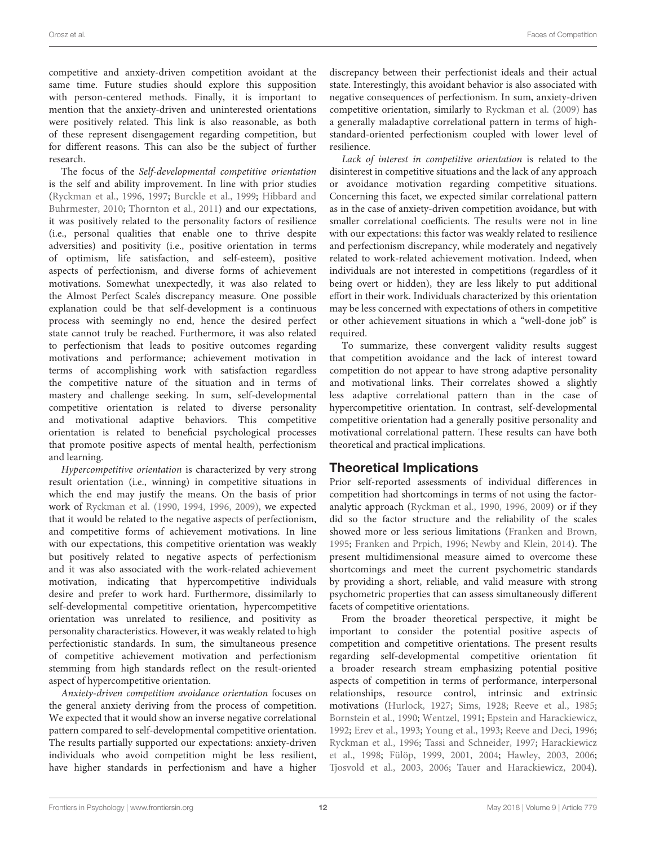competitive and anxiety-driven competition avoidant at the same time. Future studies should explore this supposition with person-centered methods. Finally, it is important to mention that the anxiety-driven and uninterested orientations were positively related. This link is also reasonable, as both of these represent disengagement regarding competition, but for different reasons. This can also be the subject of further research.

The focus of the Self-developmental competitive orientation is the self and ability improvement. In line with prior studies [\(Ryckman et al.,](#page-15-1) [1996,](#page-15-1) [1997;](#page-15-9) [Burckle et al.,](#page-13-12) [1999;](#page-13-12) [Hibbard and](#page-14-7) [Buhrmester,](#page-14-7) [2010;](#page-14-7) [Thornton et al.,](#page-15-23) [2011\)](#page-15-23) and our expectations, it was positively related to the personality factors of resilience (i.e., personal qualities that enable one to thrive despite adversities) and positivity (i.e., positive orientation in terms of optimism, life satisfaction, and self-esteem), positive aspects of perfectionism, and diverse forms of achievement motivations. Somewhat unexpectedly, it was also related to the Almost Perfect Scale's discrepancy measure. One possible explanation could be that self-development is a continuous process with seemingly no end, hence the desired perfect state cannot truly be reached. Furthermore, it was also related to perfectionism that leads to positive outcomes regarding motivations and performance; achievement motivation in terms of accomplishing work with satisfaction regardless the competitive nature of the situation and in terms of mastery and challenge seeking. In sum, self-developmental competitive orientation is related to diverse personality and motivational adaptive behaviors. This competitive orientation is related to beneficial psychological processes that promote positive aspects of mental health, perfectionism and learning.

Hypercompetitive orientation is characterized by very strong result orientation (i.e., winning) in competitive situations in which the end may justify the means. On the basis of prior work of [Ryckman et al.](#page-15-0) [\(1990,](#page-15-0) [1994,](#page-15-7) [1996,](#page-15-1) [2009\)](#page-15-2), we expected that it would be related to the negative aspects of perfectionism, and competitive forms of achievement motivations. In line with our expectations, this competitive orientation was weakly but positively related to negative aspects of perfectionism and it was also associated with the work-related achievement motivation, indicating that hypercompetitive individuals desire and prefer to work hard. Furthermore, dissimilarly to self-developmental competitive orientation, hypercompetitive orientation was unrelated to resilience, and positivity as personality characteristics. However, it was weakly related to high perfectionistic standards. In sum, the simultaneous presence of competitive achievement motivation and perfectionism stemming from high standards reflect on the result-oriented aspect of hypercompetitive orientation.

Anxiety-driven competition avoidance orientation focuses on the general anxiety deriving from the process of competition. We expected that it would show an inverse negative correlational pattern compared to self-developmental competitive orientation. The results partially supported our expectations: anxiety-driven individuals who avoid competition might be less resilient, have higher standards in perfectionism and have a higher

discrepancy between their perfectionist ideals and their actual state. Interestingly, this avoidant behavior is also associated with negative consequences of perfectionism. In sum, anxiety-driven competitive orientation, similarly to [Ryckman et al.](#page-15-2) [\(2009\)](#page-15-2) has a generally maladaptive correlational pattern in terms of highstandard-oriented perfectionism coupled with lower level of resilience.

Lack of interest in competitive orientation is related to the disinterest in competitive situations and the lack of any approach or avoidance motivation regarding competitive situations. Concerning this facet, we expected similar correlational pattern as in the case of anxiety-driven competition avoidance, but with smaller correlational coefficients. The results were not in line with our expectations: this factor was weakly related to resilience and perfectionism discrepancy, while moderately and negatively related to work-related achievement motivation. Indeed, when individuals are not interested in competitions (regardless of it being overt or hidden), they are less likely to put additional effort in their work. Individuals characterized by this orientation may be less concerned with expectations of others in competitive or other achievement situations in which a "well-done job" is required.

To summarize, these convergent validity results suggest that competition avoidance and the lack of interest toward competition do not appear to have strong adaptive personality and motivational links. Their correlates showed a slightly less adaptive correlational pattern than in the case of hypercompetitive orientation. In contrast, self-developmental competitive orientation had a generally positive personality and motivational correlational pattern. These results can have both theoretical and practical implications.

### Theoretical Implications

Prior self-reported assessments of individual differences in competition had shortcomings in terms of not using the factoranalytic approach [\(Ryckman et al.,](#page-15-0) [1990,](#page-15-0) [1996,](#page-15-1) [2009\)](#page-15-2) or if they did so the factor structure and the reliability of the scales showed more or less serious limitations [\(Franken and Brown,](#page-13-10) [1995;](#page-13-10) [Franken and Prpich,](#page-13-11) [1996;](#page-13-11) [Newby and Klein,](#page-14-10) [2014\)](#page-14-10). The present multidimensional measure aimed to overcome these shortcomings and meet the current psychometric standards by providing a short, reliable, and valid measure with strong psychometric properties that can assess simultaneously different facets of competitive orientations.

From the broader theoretical perspective, it might be important to consider the potential positive aspects of competition and competitive orientations. The present results regarding self-developmental competitive orientation fit a broader research stream emphasizing potential positive aspects of competition in terms of performance, interpersonal relationships, resource control, intrinsic and extrinsic motivations [\(Hurlock,](#page-14-31) [1927;](#page-14-31) [Sims,](#page-15-27) [1928;](#page-15-27) [Reeve et al.,](#page-14-32) [1985;](#page-14-32) [Bornstein et al.,](#page-13-33) [1990;](#page-13-33) [Wentzel,](#page-15-28) [1991;](#page-15-28) [Epstein and Harackiewicz,](#page-13-34) [1992;](#page-13-34) [Erev et al.,](#page-13-35) [1993;](#page-13-35) [Young et al.,](#page-15-29) [1993;](#page-15-29) [Reeve and Deci,](#page-14-33) [1996;](#page-14-33) [Ryckman et al.,](#page-15-1) [1996;](#page-15-1) [Tassi and Schneider,](#page-15-5) [1997;](#page-15-5) [Harackiewicz](#page-13-36) [et al.,](#page-13-36) [1998;](#page-13-36) [Fülöp,](#page-13-17) [1999,](#page-13-17) [2001,](#page-13-37) [2004;](#page-13-18) [Hawley,](#page-13-38) [2003,](#page-13-38) [2006;](#page-14-34) [Tjosvold et al.,](#page-15-30) [2003,](#page-15-30) [2006;](#page-15-31) [Tauer and Harackiewicz,](#page-15-32) [2004\)](#page-15-32).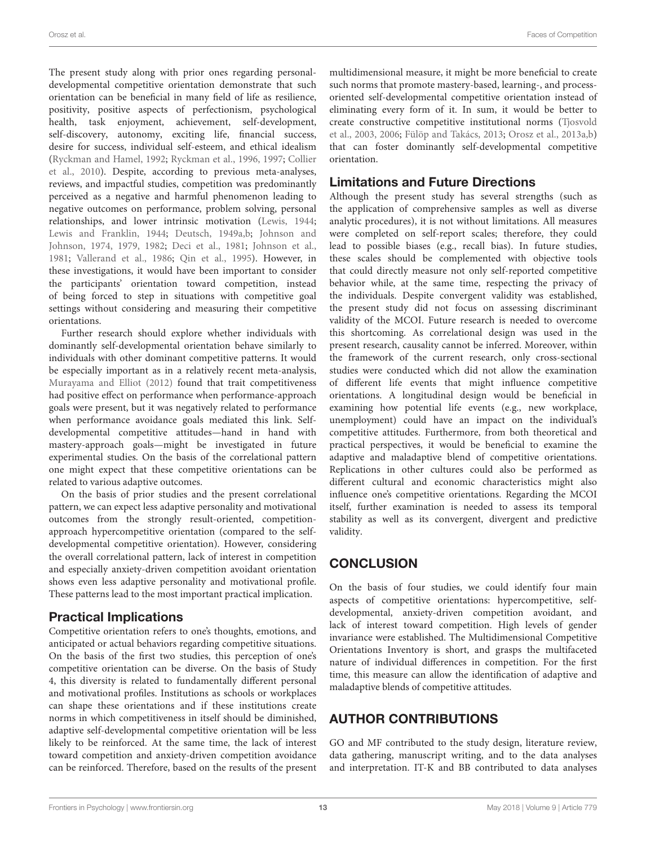Orosz et al. Faces of Competition

The present study along with prior ones regarding personaldevelopmental competitive orientation demonstrate that such orientation can be beneficial in many field of life as resilience, positivity, positive aspects of perfectionism, psychological health, task enjoyment, achievement, self-development, self-discovery, autonomy, exciting life, financial success, desire for success, individual self-esteem, and ethical idealism [\(Ryckman and Hamel,](#page-15-8) [1992;](#page-15-8) [Ryckman et al.,](#page-15-1) [1996,](#page-15-1) [1997;](#page-15-9) [Collier](#page-13-13) [et al.,](#page-13-13) [2010\)](#page-13-13). Despite, according to previous meta-analyses, reviews, and impactful studies, competition was predominantly perceived as a negative and harmful phenomenon leading to negative outcomes on performance, problem solving, personal relationships, and lower intrinsic motivation [\(Lewis,](#page-14-35) [1944;](#page-14-35) [Lewis and Franklin,](#page-14-36) [1944;](#page-14-36) [Deutsch,](#page-13-0) [1949a,](#page-13-0)[b;](#page-13-39) [Johnson and](#page-14-37) [Johnson,](#page-14-37) [1974,](#page-14-37) [1979,](#page-14-38) [1982;](#page-14-39) [Deci et al.,](#page-13-40) [1981;](#page-13-40) [Johnson et al.,](#page-14-40) [1981;](#page-14-40) [Vallerand et al.,](#page-15-33) [1986;](#page-15-33) [Qin et al.,](#page-14-41) [1995\)](#page-14-41). However, in these investigations, it would have been important to consider the participants' orientation toward competition, instead of being forced to step in situations with competitive goal settings without considering and measuring their competitive orientations.

Further research should explore whether individuals with dominantly self-developmental orientation behave similarly to individuals with other dominant competitive patterns. It would be especially important as in a relatively recent meta-analysis, [Murayama and Elliot](#page-14-1) [\(2012\)](#page-14-1) found that trait competitiveness had positive effect on performance when performance-approach goals were present, but it was negatively related to performance when performance avoidance goals mediated this link. Selfdevelopmental competitive attitudes—hand in hand with mastery-approach goals—might be investigated in future experimental studies. On the basis of the correlational pattern one might expect that these competitive orientations can be related to various adaptive outcomes.

On the basis of prior studies and the present correlational pattern, we can expect less adaptive personality and motivational outcomes from the strongly result-oriented, competitionapproach hypercompetitive orientation (compared to the selfdevelopmental competitive orientation). However, considering the overall correlational pattern, lack of interest in competition and especially anxiety-driven competition avoidant orientation shows even less adaptive personality and motivational profile. These patterns lead to the most important practical implication.

# Practical Implications

Competitive orientation refers to one's thoughts, emotions, and anticipated or actual behaviors regarding competitive situations. On the basis of the first two studies, this perception of one's competitive orientation can be diverse. On the basis of Study 4, this diversity is related to fundamentally different personal and motivational profiles. Institutions as schools or workplaces can shape these orientations and if these institutions create norms in which competitiveness in itself should be diminished, adaptive self-developmental competitive orientation will be less likely to be reinforced. At the same time, the lack of interest toward competition and anxiety-driven competition avoidance can be reinforced. Therefore, based on the results of the present

multidimensional measure, it might be more beneficial to create such norms that promote mastery-based, learning-, and processoriented self-developmental competitive orientation instead of eliminating every form of it. In sum, it would be better to create constructive competitive institutional norms [\(Tjosvold](#page-15-30) [et al.,](#page-15-30) [2003,](#page-15-30) [2006;](#page-15-31) [Fülöp and Takács,](#page-13-41) [2013;](#page-13-41) [Orosz et al.,](#page-14-42) [2013a](#page-14-42)[,b\)](#page-14-43) that can foster dominantly self-developmental competitive orientation.

# Limitations and Future Directions

Although the present study has several strengths (such as the application of comprehensive samples as well as diverse analytic procedures), it is not without limitations. All measures were completed on self-report scales; therefore, they could lead to possible biases (e.g., recall bias). In future studies, these scales should be complemented with objective tools that could directly measure not only self-reported competitive behavior while, at the same time, respecting the privacy of the individuals. Despite convergent validity was established, the present study did not focus on assessing discriminant validity of the MCOI. Future research is needed to overcome this shortcoming. As correlational design was used in the present research, causality cannot be inferred. Moreover, within the framework of the current research, only cross-sectional studies were conducted which did not allow the examination of different life events that might influence competitive orientations. A longitudinal design would be beneficial in examining how potential life events (e.g., new workplace, unemployment) could have an impact on the individual's competitive attitudes. Furthermore, from both theoretical and practical perspectives, it would be beneficial to examine the adaptive and maladaptive blend of competitive orientations. Replications in other cultures could also be performed as different cultural and economic characteristics might also influence one's competitive orientations. Regarding the MCOI itself, further examination is needed to assess its temporal stability as well as its convergent, divergent and predictive validity.

# **CONCLUSION**

On the basis of four studies, we could identify four main aspects of competitive orientations: hypercompetitive, selfdevelopmental, anxiety-driven competition avoidant, and lack of interest toward competition. High levels of gender invariance were established. The Multidimensional Competitive Orientations Inventory is short, and grasps the multifaceted nature of individual differences in competition. For the first time, this measure can allow the identification of adaptive and maladaptive blends of competitive attitudes.

# AUTHOR CONTRIBUTIONS

GO and MF contributed to the study design, literature review, data gathering, manuscript writing, and to the data analyses and interpretation. IT-K and BB contributed to data analyses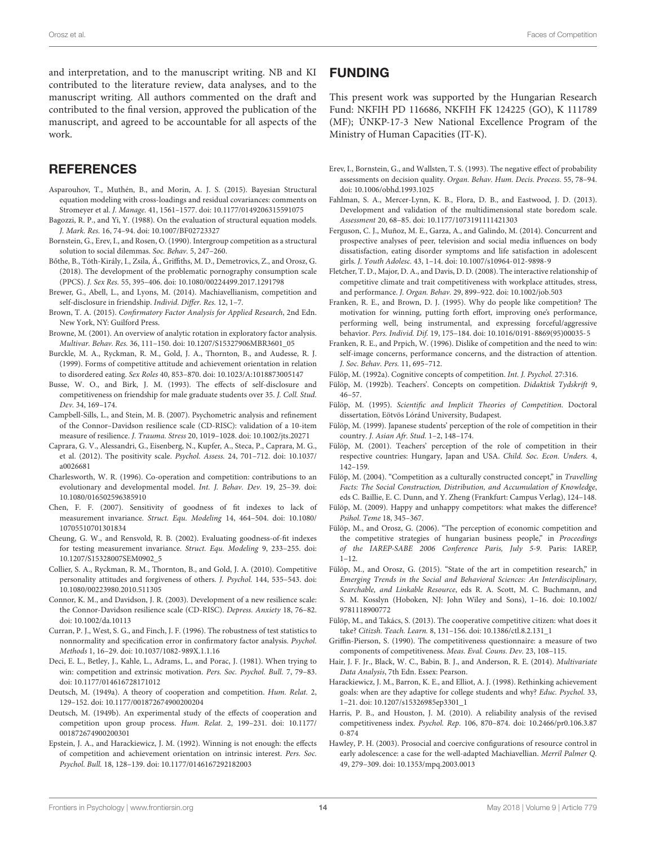and interpretation, and to the manuscript writing. NB and KI contributed to the literature review, data analyses, and to the manuscript writing. All authors commented on the draft and contributed to the final version, approved the publication of the manuscript, and agreed to be accountable for all aspects of the work.

### **REFERENCES**

- <span id="page-13-23"></span>Asparouhov, T., Muthén, B., and Morin, A. J. S. (2015). Bayesian Structural equation modeling with cross-loadings and residual covariances: comments on Stromeyer et al. J. Manage. 41, 1561–1577. [doi: 10.1177/0149206315591075](https://doi.org/10.1177/0149206315591075)
- <span id="page-13-26"></span>Bagozzi, R. P., and Yi, Y. (1988). On the evaluation of structural equation models. J. Mark. Res. 16, 74–94. [doi: 10.1007/BF02723327](https://doi.org/10.1007/BF02723327)
- <span id="page-13-33"></span>Bornstein, G., Erev, I., and Rosen, O. (1990). Intergroup competition as a structural solution to social dilemmas. Soc. Behav. 5, 247–260.
- <span id="page-13-21"></span>Bőthe, B., Tóth-Király, I., Zsila, Á., Griffiths, M. D., Demetrovics, Z., and Orosz, G. (2018). The development of the problematic pornography consumption scale (PPCS). J. Sex Res. 55, 395–406. [doi: 10.1080/00224499.2017.1291798](https://doi.org/10.1080/00224499.2017.1291798)
- <span id="page-13-4"></span>Brewer, G., Abell, L., and Lyons, M. (2014). Machiavellianism, competition and self-disclosure in friendship. Individ. Differ. Res. 12, 1–7.
- <span id="page-13-25"></span>Brown, T. A. (2015). Confirmatory Factor Analysis for Applied Research, 2nd Edn. New York, NY: Guilford Press.
- <span id="page-13-24"></span>Browne, M. (2001). An overview of analytic rotation in exploratory factor analysis. Multivar. Behav. Res. 36, 111–150. [doi: 10.1207/S15327906MBR3601\\_05](https://doi.org/10.1207/S15327906MBR3601_05)
- <span id="page-13-12"></span>Burckle, M. A., Ryckman, R. M., Gold, J. A., Thornton, B., and Audesse, R. J. (1999). Forms of competitive attitude and achievement orientation in relation to disordered eating. Sex Roles 40, 853–870. [doi: 10.1023/A:1018873005147](https://doi.org/10.1023/A:1018873005147)
- <span id="page-13-3"></span>Busse, W. O., and Birk, J. M. (1993). The effects of self-disclosure and competitiveness on friendship for male graduate students over 35. J. Coll. Stud. Dev. 34, 169–174.
- <span id="page-13-30"></span>Campbell-Sills, L., and Stein, M. B. (2007). Psychometric analysis and refinement of the Connor–Davidson resilience scale (CD-RISC): validation of a 10-item measure of resilience. J. Trauma. Stress 20, 1019–1028. [doi: 10.1002/jts.20271](https://doi.org/10.1002/jts.20271)
- <span id="page-13-32"></span>Caprara, G. V., Alessandri, G., Eisenberg, N., Kupfer, A., Steca, P., Caprara, M. G., et al. (2012). The positivity scale. Psychol. Assess. 24, 701–712. [doi: 10.1037/](https://doi.org/10.1037/a0026681) [a0026681](https://doi.org/10.1037/a0026681)
- <span id="page-13-7"></span>Charlesworth, W. R. (1996). Co-operation and competition: contributions to an evolutionary and developmental model. Int. J. Behav. Dev. 19, 25–39. [doi:](https://doi.org/10.1080/016502596385910) [10.1080/016502596385910](https://doi.org/10.1080/016502596385910)
- <span id="page-13-29"></span>Chen, F. F. (2007). Sensitivity of goodness of fit indexes to lack of measurement invariance. Struct. Equ. Modeling 14, 464–504. [doi: 10.1080/](https://doi.org/10.1080/10705510701301834) [10705510701301834](https://doi.org/10.1080/10705510701301834)
- <span id="page-13-28"></span>Cheung, G. W., and Rensvold, R. B. (2002). Evaluating goodness-of-fit indexes for testing measurement invariance. Struct. Equ. Modeling 9, 233–255. [doi:](https://doi.org/10.1207/S15328007SEM0902_5) [10.1207/S15328007SEM0902\\_5](https://doi.org/10.1207/S15328007SEM0902_5)
- <span id="page-13-13"></span>Collier, S. A., Ryckman, R. M., Thornton, B., and Gold, J. A. (2010). Competitive personality attitudes and forgiveness of others. J. Psychol. 144, 535–543. [doi:](https://doi.org/10.1080/00223980.2010.511305) [10.1080/00223980.2010.511305](https://doi.org/10.1080/00223980.2010.511305)
- <span id="page-13-31"></span>Connor, K. M., and Davidson, J. R. (2003). Development of a new resilience scale: the Connor-Davidson resilience scale (CD-RISC). Depress. Anxiety 18, 76–82. [doi: 10.1002/da.10113](https://doi.org/10.1002/da.10113)
- <span id="page-13-22"></span>Curran, P. J., West, S. G., and Finch, J. F. (1996). The robustness of test statistics to nonnormality and specification error in confirmatory factor analysis. Psychol. Methods 1, 16–29. [doi: 10.1037/1082-989X.1.1.16](https://doi.org/10.1037/1082-989X.1.1.16)
- <span id="page-13-40"></span>Deci, E. L., Betley, J., Kahle, L., Adrams, L., and Porac, J. (1981). When trying to win: competition and extrinsic motivation. Pers. Soc. Psychol. Bull. 7, 79–83. [doi: 10.1177/014616728171012](https://doi.org/10.1177/014616728171012)
- <span id="page-13-0"></span>Deutsch, M. (1949a). A theory of cooperation and competition. Hum. Relat. 2, 129–152. [doi: 10.1177/001872674900200204](https://doi.org/10.1177/001872674900200204)
- <span id="page-13-39"></span>Deutsch, M. (1949b). An experimental study of the effects of cooperation and competition upon group process. Hum. Relat. 2, 199–231. [doi: 10.1177/](https://doi.org/10.1177/001872674900200301) [001872674900200301](https://doi.org/10.1177/001872674900200301)
- <span id="page-13-34"></span>Epstein, J. A., and Harackiewicz, J. M. (1992). Winning is not enough: the effects of competition and achievement orientation on intrinsic interest. Pers. Soc. Psychol. Bull. 18, 128–139. [doi: 10.1177/0146167292182003](https://doi.org/10.1177/0146167292182003)

### FUNDING

This present work was supported by the Hungarian Research Fund: NKFIH PD 116686, NKFIH FK 124225 (GO), K 111789 (MF); ÚNKP-17-3 New National Excellence Program of the Ministry of Human Capacities (IT-K).

- <span id="page-13-35"></span>Erev, I., Bornstein, G., and Wallsten, T. S. (1993). The negative effect of probability assessments on decision quality. Organ. Behav. Hum. Decis. Process. 55, 78–94. [doi: 10.1006/obhd.1993.1025](https://doi.org/10.1006/obhd.1993.1025)
- <span id="page-13-20"></span>Fahlman, S. A., Mercer-Lynn, K. B., Flora, D. B., and Eastwood, J. D. (2013). Development and validation of the multidimensional state boredom scale. Assessment 20, 68–85. [doi: 10.1177/1073191111421303](https://doi.org/10.1177/1073191111421303)
- <span id="page-13-2"></span>Ferguson, C. J., Muñoz, M. E., Garza, A., and Galindo, M. (2014). Concurrent and prospective analyses of peer, television and social media influences on body dissatisfaction, eating disorder symptoms and life satisfaction in adolescent girls. J. Youth Adolesc. 43, 1–14. [doi: 10.1007/s10964-012-9898-9](https://doi.org/10.1007/s10964-012-9898-9)
- <span id="page-13-1"></span>Fletcher, T. D., Major, D. A., and Davis, D. D. (2008). The interactive relationship of competitive climate and trait competitiveness with workplace attitudes, stress, and performance. J. Organ. Behav. 29, 899–922. [doi: 10.1002/job.503](https://doi.org/10.1002/job.503)
- <span id="page-13-10"></span>Franken, R. E., and Brown, D. J. (1995). Why do people like competition? The motivation for winning, putting forth effort, improving one's performance, performing well, being instrumental, and expressing forceful/aggressive behavior. Pers. Individ. Dif. 19, 175–184. [doi: 10.1016/0191-8869\(95\)00035-5](https://doi.org/10.1016/0191-8869(95)00035-5)
- <span id="page-13-11"></span>Franken, R. E., and Prpich, W. (1996). Dislike of competition and the need to win: self-image concerns, performance concerns, and the distraction of attention. J. Soc. Behav. Pers. 11, 695–712.
- <span id="page-13-14"></span>Fülöp, M. (1992a). Cognitive concepts of competition. Int. J. Psychol. 27:316.
- <span id="page-13-15"></span>Fülöp, M. (1992b). Teachers'. Concepts on competition. Didaktisk Tydskrift 9, 46–57.
- <span id="page-13-16"></span>Fülöp, M. (1995). Scientific and Implicit Theories of Competition. Doctoral dissertation, Eötvös Lóránd University, Budapest.
- <span id="page-13-17"></span>Fülöp, M. (1999). Japanese students' perception of the role of competition in their country. J. Asian Afr. Stud. 1–2, 148–174.
- <span id="page-13-37"></span>Fülöp, M. (2001). Teachers' perception of the role of competition in their respective countries: Hungary, Japan and USA. Child. Soc. Econ. Unders. 4, 142–159.
- <span id="page-13-18"></span>Fülöp, M. (2004). "Competition as a culturally constructed concept," in Travelling Facts: The Social Construction, Distribution, and Accumulation of Knowledge, eds C. Baillie, E. C. Dunn, and Y. Zheng (Frankfurt: Campus Verlag), 124–148.
- <span id="page-13-5"></span>Fülöp, M. (2009). Happy and unhappy competitors: what makes the difference? Psihol. Teme 18, 345–367.
- <span id="page-13-19"></span>Fülöp, M., and Orosz, G. (2006). "The perception of economic competition and the competitive strategies of hungarian business people," in Proceedings of the IAREP-SABE 2006 Conference Paris, July 5-9. Paris: IAREP,  $1 - 12$
- <span id="page-13-6"></span>Fülöp, M., and Orosz, G. (2015). "State of the art in competition research," in Emerging Trends in the Social and Behavioral Sciences: An Interdisciplinary, Searchable, and Linkable Resource, eds R. A. Scott, M. C. Buchmann, and S. M. Kosslyn (Hoboken, NJ: John Wiley and Sons), 1–16. [doi: 10.1002/](https://doi.org/10.1002/9781118900772) [9781118900772](https://doi.org/10.1002/9781118900772)
- <span id="page-13-41"></span>Fülöp, M., and Takács, S. (2013). The cooperative competitive citizen: what does it take? Citizsh. Teach. Learn. 8, 131–156. [doi: 10.1386/ctl.8.2.131\\_1](https://doi.org/10.1386/ctl.8.2.131_1)
- <span id="page-13-8"></span>Griffin-Pierson, S. (1990). The competitiveness questionnaire: a measure of two components of competitiveness. Meas. Eval. Couns. Dev. 23, 108–115.
- <span id="page-13-27"></span>Hair, J. F. Jr., Black, W. C., Babin, B. J., and Anderson, R. E. (2014). Multivariate Data Analysis, 7th Edn. Essex: Pearson.
- <span id="page-13-36"></span>Harackiewicz, J. M., Barron, K. E., and Elliot, A. J. (1998). Rethinking achievement goals: when are they adaptive for college students and why? Educ. Psychol. 33, 1–21. [doi: 10.1207/s15326985ep3301\\_1](https://doi.org/10.1207/s15326985ep3301_1)
- <span id="page-13-9"></span>Harris, P. B., and Houston, J. M. (2010). A reliability analysis of the revised competitiveness index. Psychol. Rep. 106, 870–874. [doi: 10.2466/pr0.106.3.87](https://doi.org/10.2466/pr0.106.3.870-874) [0-874](https://doi.org/10.2466/pr0.106.3.870-874)
- <span id="page-13-38"></span>Hawley, P. H. (2003). Prosocial and coercive configurations of resource control in early adolescence: a case for the well-adapted Machiavellian. Merril Palmer Q. 49, 279–309. [doi: 10.1353/mpq.2003.0013](https://doi.org/10.1353/mpq.2003.0013)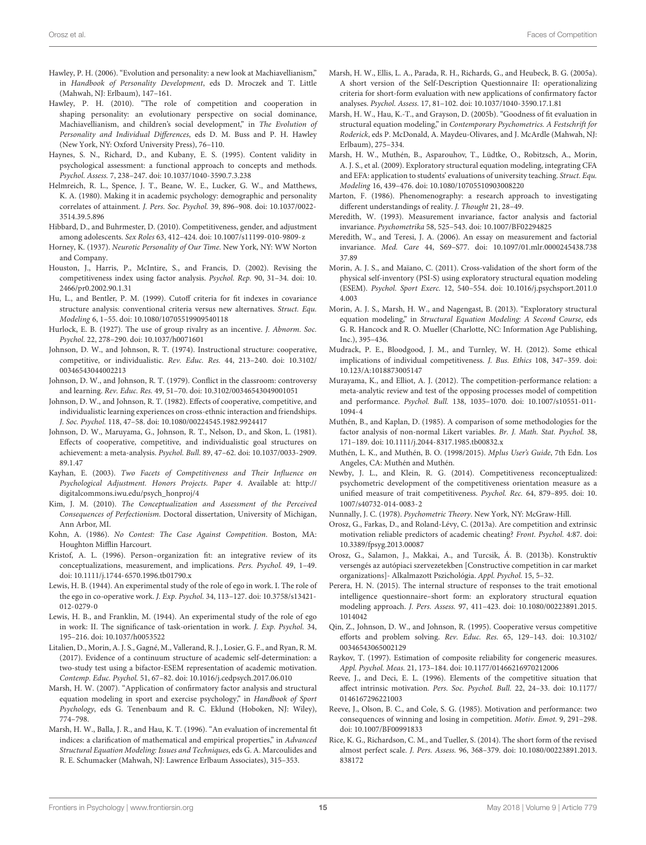- <span id="page-14-34"></span>Hawley, P. H. (2006). "Evolution and personality: a new look at Machiavellianism," in Handbook of Personality Development, eds D. Mroczek and T. Little (Mahwah, NJ: Erlbaum), 147–161.
- <span id="page-14-4"></span>Hawley, P. H. (2010). "The role of competition and cooperation in shaping personality: an evolutionary perspective on social dominance, Machiavellianism, and children's social development," in The Evolution of Personality and Individual Differences, eds D. M. Buss and P. H. Hawley (New York, NY: Oxford University Press), 76–110.
- <span id="page-14-15"></span>Haynes, S. N., Richard, D., and Kubany, E. S. (1995). Content validity in psychological assessment: a functional approach to concepts and methods. Psychol. Assess. 7, 238–247. [doi: 10.1037/1040-3590.7.3.238](https://doi.org/10.1037/1040-3590.7.3.238)
- <span id="page-14-2"></span>Helmreich, R. L., Spence, J. T., Beane, W. E., Lucker, G. W., and Matthews, K. A. (1980). Making it in academic psychology: demographic and personality correlates of attainment. J. Pers. Soc. Psychol. 39, 896–908. [doi: 10.1037/0022-](https://doi.org/10.1037/0022-3514.39.5.896) [3514.39.5.896](https://doi.org/10.1037/0022-3514.39.5.896)
- <span id="page-14-7"></span>Hibbard, D., and Buhrmester, D. (2010). Competitiveness, gender, and adjustment among adolescents. Sex Roles 63, 412–424. [doi: 10.1007/s11199-010-9809-z](https://doi.org/10.1007/s11199-010-9809-z)
- <span id="page-14-9"></span>Horney, K. (1937). Neurotic Personality of Our Time. New York, NY: WW Norton and Company.
- <span id="page-14-6"></span>Houston, J., Harris, P., McIntire, S., and Francis, D. (2002). Revising the competitiveness index using factor analysis. Psychol. Rep. 90, 31–34. [doi: 10.](https://doi.org/10.2466/pr0.2002.90.1.31) [2466/pr0.2002.90.1.31](https://doi.org/10.2466/pr0.2002.90.1.31)
- <span id="page-14-21"></span>Hu, L., and Bentler, P. M. (1999). Cutoff criteria for fit indexes in covariance structure analysis: conventional criteria versus new alternatives. Struct. Equ. Modeling 6, 1–55. [doi: 10.1080/10705519909540118](https://doi.org/10.1080/10705519909540118)
- <span id="page-14-31"></span>Hurlock, E. B. (1927). The use of group rivalry as an incentive. J. Abnorm. Soc. Psychol. 22, 278–290. [doi: 10.1037/h0071601](https://doi.org/10.1037/h0071601)
- <span id="page-14-37"></span>Johnson, D. W., and Johnson, R. T. (1974). Instructional structure: cooperative, competitive, or individualistic. Rev. Educ. Res. 44, 213–240. [doi: 10.3102/](https://doi.org/10.3102/00346543044002213) [00346543044002213](https://doi.org/10.3102/00346543044002213)
- <span id="page-14-38"></span>Johnson, D. W., and Johnson, R. T. (1979). Conflict in the classroom: controversy and learning. Rev. Educ. Res. 49, 51–70. [doi: 10.3102/00346543049001051](https://doi.org/10.3102/00346543049001051)
- <span id="page-14-39"></span>Johnson, D. W., and Johnson, R. T. (1982). Effects of cooperative, competitive, and individualistic learning experiences on cross-ethnic interaction and friendships. J. Soc. Psychol. 118, 47–58. [doi: 10.1080/00224545.1982.9924417](https://doi.org/10.1080/00224545.1982.9924417)
- <span id="page-14-40"></span>Johnson, D. W., Maruyama, G., Johnson, R. T., Nelson, D., and Skon, L. (1981). Effects of cooperative, competitive, and individualistic goal structures on achievement: a meta-analysis. Psychol. Bull. 89, 47–62. [doi: 10.1037/0033-2909.](https://doi.org/10.1037/0033-2909.89.1.47) [89.1.47](https://doi.org/10.1037/0033-2909.89.1.47)
- <span id="page-14-5"></span>Kayhan, E. (2003). Two Facets of Competitiveness and Their Influence on Psychological Adjustment. Honors Projects. Paper 4. Available at: [http://](http://digitalcommons.iwu.edu/psych_honproj/4) [digitalcommons.iwu.edu/psych\\_honproj/4](http://digitalcommons.iwu.edu/psych_honproj/4)
- <span id="page-14-30"></span>Kim, J. M. (2010). The Conceptualization and Assessment of the Perceived Consequences of Perfectionism. Doctoral dissertation, University of Michigan, Ann Arbor, MI.
- <span id="page-14-3"></span>Kohn, A. (1986). No Contest: The Case Against Competition. Boston, MA: Houghton Mifflin Harcourt.
- <span id="page-14-0"></span>Kristof, A. L. (1996). Person–organization fit: an integrative review of its conceptualizations, measurement, and implications. Pers. Psychol. 49, 1–49. [doi: 10.1111/j.1744-6570.1996.tb01790.x](https://doi.org/10.1111/j.1744-6570.1996.tb01790.x)
- <span id="page-14-35"></span>Lewis, H. B. (1944). An experimental study of the role of ego in work. I. The role of the ego in co-operative work. J. Exp. Psychol. 34, 113–127. [doi: 10.3758/s13421-](https://doi.org/10.3758/s13421-012-0279-0) [012-0279-0](https://doi.org/10.3758/s13421-012-0279-0)
- <span id="page-14-36"></span>Lewis, H. B., and Franklin, M. (1944). An experimental study of the role of ego in work: II. The significance of task-orientation in work. J. Exp. Psychol. 34, 195–216. [doi: 10.1037/h0053522](https://doi.org/10.1037/h0053522)
- <span id="page-14-20"></span>Litalien, D., Morin, A. J. S., Gagné, M., Vallerand, R. J., Losier, G. F., and Ryan, R. M. (2017). Evidence of a continuum structure of academic self-determination: a two-study test using a bifactor-ESEM representation of academic motivation. Contemp. Educ. Psychol. 51, 67–82. [doi: 10.1016/j.cedpsych.2017.06.010](https://doi.org/10.1016/j.cedpsych.2017.06.010)
- <span id="page-14-26"></span>Marsh, H. W. (2007). "Application of confirmatory factor analysis and structural equation modeling in sport and exercise psychology," in Handbook of Sport Psychology, eds G. Tenenbaum and R. C. Eklund (Hoboken, NJ: Wiley), 774–798.
- <span id="page-14-25"></span>Marsh, H. W., Balla, J. R., and Hau, K. T. (1996). "An evaluation of incremental fit indices: a clarification of mathematical and empirical properties," in Advanced Structural Equation Modeling: Issues and Techniques, eds G. A. Marcoulides and R. E. Schumacker (Mahwah, NJ: Lawrence Erlbaum Associates), 315–353.
- <span id="page-14-11"></span>Marsh, H. W., Ellis, L. A., Parada, R. H., Richards, G., and Heubeck, B. G. (2005a). A short version of the Self-Description Questionnaire II: operationalizing criteria for short-form evaluation with new applications of confirmatory factor analyses. Psychol. Assess. 17, 81–102. [doi: 10.1037/1040-3590.17.1.81](https://doi.org/10.1037/1040-3590.17.1.81)
- <span id="page-14-22"></span>Marsh, H. W., Hau, K.-T., and Grayson, D. (2005b). "Goodness of fit evaluation in structural equation modeling," in Contemporary Psychometrics. A Festschrift for Roderick, eds P. McDonald, A. Maydeu-Olivares, and J. McArdle (Mahwah, NJ: Erlbaum), 275–334.
- <span id="page-14-16"></span>Marsh, H. W., Muthén, B., Asparouhov, T., Lüdtke, O., Robitzsch, A., Morin, A. J. S., et al. (2009). Exploratory structural equation modeling, integrating CFA and EFA: application to students' evaluations of university teaching. Struct. Equ. Modeling 16, 439–476. [doi: 10.1080/10705510903008220](https://doi.org/10.1080/10705510903008220)
- <span id="page-14-12"></span>Marton, F. (1986). Phenomenography: a research approach to investigating different understandings of reality. J. Thought 21, 28–49.
- <span id="page-14-27"></span>Meredith, W. (1993). Measurement invariance, factor analysis and factorial invariance. Psychometrika 58, 525–543. [doi: 10.1007/BF02294825](https://doi.org/10.1007/BF02294825)
- <span id="page-14-28"></span>Meredith, W., and Teresi, J. A. (2006). An essay on measurement and factorial invariance. Med. Care 44, S69–S77. [doi: 10.1097/01.mlr.0000245438.738](https://doi.org/10.1097/01.mlr.0000245438.73837.89) [37.89](https://doi.org/10.1097/01.mlr.0000245438.73837.89)
- <span id="page-14-18"></span>Morin, A. J. S., and Maïano, C. (2011). Cross-validation of the short form of the physical self-inventory (PSI-S) using exploratory structural equation modeling (ESEM). Psychol. Sport Exerc. 12, 540–554. [doi: 10.1016/j.psychsport.2011.0](https://doi.org/10.1016/j.psychsport.2011.04.003) [4.003](https://doi.org/10.1016/j.psychsport.2011.04.003)
- <span id="page-14-17"></span>Morin, A. J. S., Marsh, H. W., and Nagengast, B. (2013). "Exploratory structural equation modeling," in Structural Equation Modeling: A Second Course, eds G. R. Hancock and R. O. Mueller (Charlotte, NC: Information Age Publishing, Inc.), 395–436.
- <span id="page-14-8"></span>Mudrack, P. E., Bloodgood, J. M., and Turnley, W. H. (2012). Some ethical implications of individual competitiveness. J. Bus. Ethics 108, 347–359. [doi:](https://doi.org/10.123/A:1018873005147) [10.123/A:1018873005147](https://doi.org/10.123/A:1018873005147)
- <span id="page-14-1"></span>Murayama, K., and Elliot, A. J. (2012). The competition-performance relation: a meta-analytic review and test of the opposing processes model of competition and performance. Psychol. Bull. 138, 1035–1070. [doi: 10.1007/s10551-011-](https://doi.org/10.1007/s10551-011-1094-4) [1094-4](https://doi.org/10.1007/s10551-011-1094-4)
- <span id="page-14-14"></span>Muthén, B., and Kaplan, D. (1985). A comparison of some methodologies for the factor analysis of non-normal Likert variables. Br. J. Math. Stat. Psychol. 38, 171–189. [doi: 10.1111/j.2044-8317.1985.tb00832.x](https://doi.org/10.1111/j.2044-8317.1985.tb00832.x)
- <span id="page-14-13"></span>Muthén, L. K., and Muthén, B. O. (1998/2015). Mplus User's Guide, 7th Edn. Los Angeles, CA: Muthén and Muthén.
- <span id="page-14-10"></span>Newby, J. L., and Klein, R. G. (2014). Competitiveness reconceptualized: psychometric development of the competitiveness orientation measure as a unified measure of trait competitiveness. Psychol. Rec. 64, 879–895. [doi: 10.](https://doi.org/10.1007/s40732-014-0083-2) [1007/s40732-014-0083-2](https://doi.org/10.1007/s40732-014-0083-2)
- <span id="page-14-23"></span>Nunnally, J. C. (1978). Psychometric Theory. New York, NY: McGraw-Hill.
- <span id="page-14-42"></span>Orosz, G., Farkas, D., and Roland-Lévy, C. (2013a). Are competition and extrinsic motivation reliable predictors of academic cheating? Front. Psychol. 4:87. [doi:](https://doi.org/10.3389/fpsyg.2013.00087) [10.3389/fpsyg.2013.00087](https://doi.org/10.3389/fpsyg.2013.00087)
- <span id="page-14-43"></span>Orosz, G., Salamon, J., Makkai, A., and Turcsik, Á. B. (2013b). Konstruktív versengés az autópiaci szervezetekben [Constructive competition in car market organizations]- Alkalmazott Pszichológia. Appl. Psychol. 15, 5–32.
- <span id="page-14-19"></span>Perera, H. N. (2015). The internal structure of responses to the trait emotional intelligence questionnaire–short form: an exploratory structural equation modeling approach. J. Pers. Assess. 97, 411–423. [doi: 10.1080/00223891.2015.](https://doi.org/10.1080/00223891.2015.1014042) [1014042](https://doi.org/10.1080/00223891.2015.1014042)
- <span id="page-14-41"></span>Qin, Z., Johnson, D. W., and Johnson, R. (1995). Cooperative versus competitive efforts and problem solving. Rev. Educ. Res. 65, 129–143. [doi: 10.3102/](https://doi.org/10.3102/00346543065002129) [00346543065002129](https://doi.org/10.3102/00346543065002129)
- <span id="page-14-24"></span>Raykov, T. (1997). Estimation of composite reliability for congeneric measures. Appl. Psychol. Meas. 21, 173–184. [doi: 10.1177/01466216970212006](https://doi.org/10.1177/01466216970212006)
- <span id="page-14-33"></span>Reeve, J., and Deci, E. L. (1996). Elements of the competitive situation that affect intrinsic motivation. Pers. Soc. Psychol. Bull. 22, 24–33. [doi: 10.1177/](https://doi.org/10.1177/0146167296221003) [0146167296221003](https://doi.org/10.1177/0146167296221003)
- <span id="page-14-32"></span>Reeve, J., Olson, B. C., and Cole, S. G. (1985). Motivation and performance: two consequences of winning and losing in competition. Motiv. Emot. 9, 291–298. [doi: 10.1007/BF00991833](https://doi.org/10.1007/BF00991833)
- <span id="page-14-29"></span>Rice, K. G., Richardson, C. M., and Tueller, S. (2014). The short form of the revised almost perfect scale. J. Pers. Assess. 96, 368–379. [doi: 10.1080/00223891.2013.](https://doi.org/10.1080/00223891.2013.838172) [838172](https://doi.org/10.1080/00223891.2013.838172)